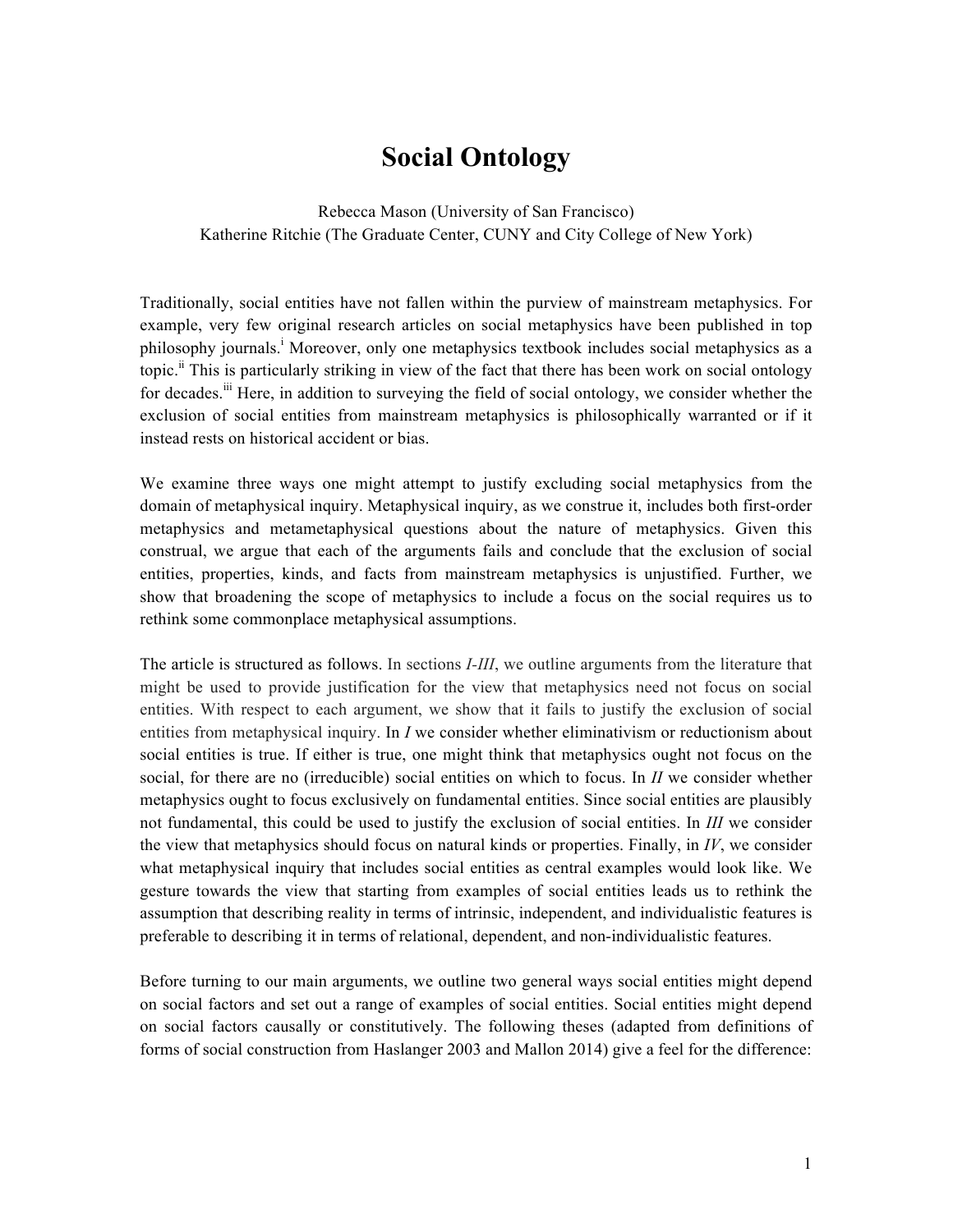# **Social Ontology**

Rebecca Mason (University of San Francisco) Katherine Ritchie (The Graduate Center, CUNY and City College of New York)

Traditionally, social entities have not fallen within the purview of mainstream metaphysics. For example, very few original research articles on social metaphysics have been published in top philosophy journals.i Moreover, only one metaphysics textbook includes social metaphysics as a topic.<sup>ii</sup> This is particularly striking in view of the fact that there has been work on social ontology for decades.<sup>iii</sup> Here, in addition to surveying the field of social ontology, we consider whether the exclusion of social entities from mainstream metaphysics is philosophically warranted or if it instead rests on historical accident or bias.

We examine three ways one might attempt to justify excluding social metaphysics from the domain of metaphysical inquiry. Metaphysical inquiry, as we construe it, includes both first-order metaphysics and metametaphysical questions about the nature of metaphysics. Given this construal, we argue that each of the arguments fails and conclude that the exclusion of social entities, properties, kinds, and facts from mainstream metaphysics is unjustified. Further, we show that broadening the scope of metaphysics to include a focus on the social requires us to rethink some commonplace metaphysical assumptions.

The article is structured as follows. In sections *I-III*, we outline arguments from the literature that might be used to provide justification for the view that metaphysics need not focus on social entities. With respect to each argument, we show that it fails to justify the exclusion of social entities from metaphysical inquiry. In *I* we consider whether eliminativism or reductionism about social entities is true. If either is true, one might think that metaphysics ought not focus on the social, for there are no (irreducible) social entities on which to focus. In *II* we consider whether metaphysics ought to focus exclusively on fundamental entities. Since social entities are plausibly not fundamental, this could be used to justify the exclusion of social entities. In *III* we consider the view that metaphysics should focus on natural kinds or properties. Finally, in *IV*, we consider what metaphysical inquiry that includes social entities as central examples would look like. We gesture towards the view that starting from examples of social entities leads us to rethink the assumption that describing reality in terms of intrinsic, independent, and individualistic features is preferable to describing it in terms of relational, dependent, and non-individualistic features.

Before turning to our main arguments, we outline two general ways social entities might depend on social factors and set out a range of examples of social entities. Social entities might depend on social factors causally or constitutively. The following theses (adapted from definitions of forms of social construction from Haslanger 2003 and Mallon 2014) give a feel for the difference: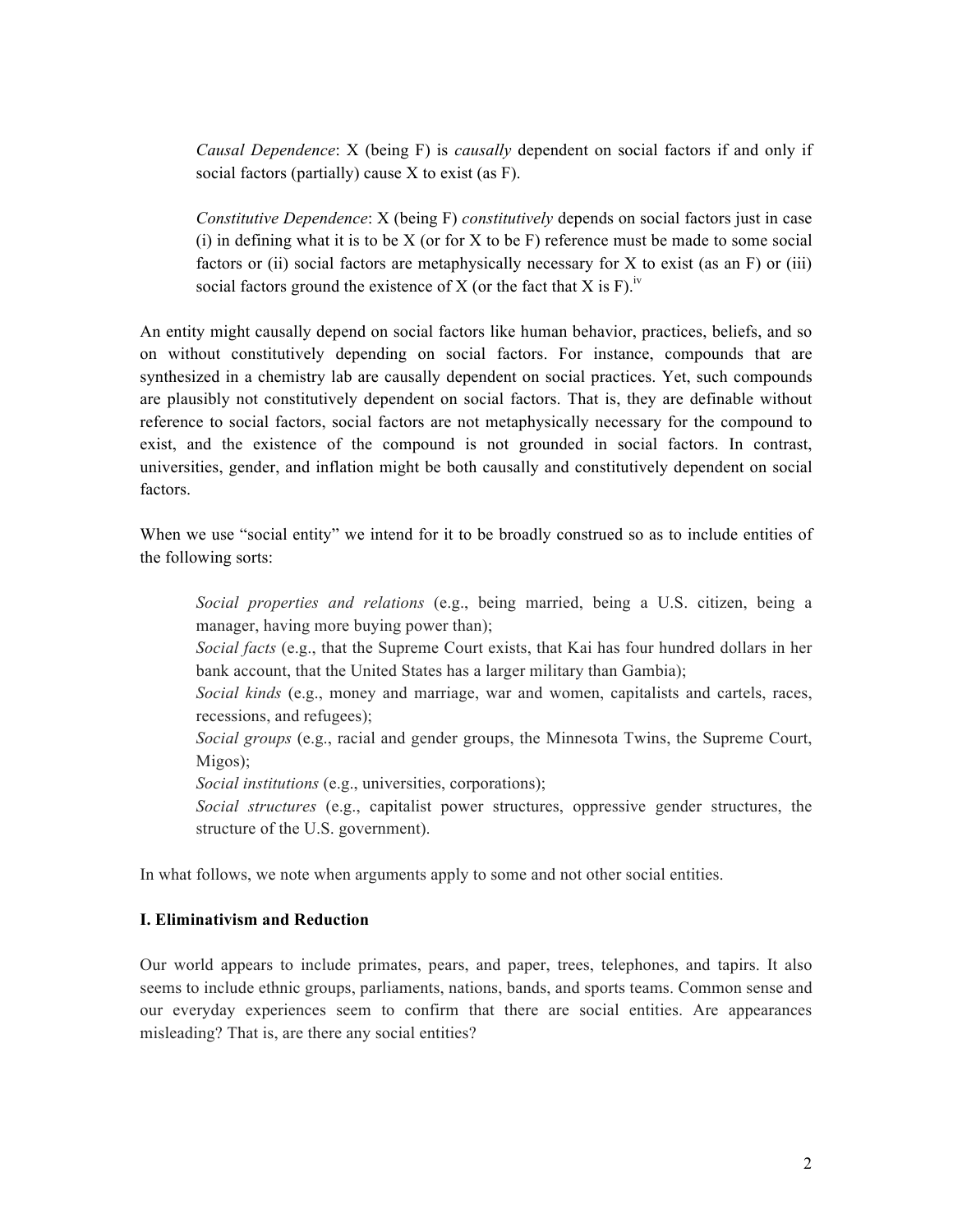*Causal Dependence*: X (being F) is *causally* dependent on social factors if and only if social factors (partially) cause X to exist (as F).

*Constitutive Dependence*: X (being F) *constitutively* depends on social factors just in case (i) in defining what it is to be  $X$  (or for  $X$  to be F) reference must be made to some social factors or (ii) social factors are metaphysically necessary for  $X$  to exist (as an  $F$ ) or (iii) social factors ground the existence of X (or the fact that X is F).<sup>iv</sup>

An entity might causally depend on social factors like human behavior, practices, beliefs, and so on without constitutively depending on social factors. For instance, compounds that are synthesized in a chemistry lab are causally dependent on social practices. Yet, such compounds are plausibly not constitutively dependent on social factors. That is, they are definable without reference to social factors, social factors are not metaphysically necessary for the compound to exist, and the existence of the compound is not grounded in social factors. In contrast, universities, gender, and inflation might be both causally and constitutively dependent on social factors.

When we use "social entity" we intend for it to be broadly construed so as to include entities of the following sorts:

*Social properties and relations* (e.g., being married, being a U.S. citizen, being a manager, having more buying power than);

*Social facts* (e.g., that the Supreme Court exists, that Kai has four hundred dollars in her bank account, that the United States has a larger military than Gambia);

*Social kinds* (e.g., money and marriage, war and women, capitalists and cartels, races, recessions, and refugees);

*Social groups* (e.g., racial and gender groups, the Minnesota Twins, the Supreme Court, Migos);

*Social institutions* (e.g., universities, corporations);

*Social structures* (e.g., capitalist power structures, oppressive gender structures, the structure of the U.S. government).

In what follows, we note when arguments apply to some and not other social entities.

#### **I. Eliminativism and Reduction**

Our world appears to include primates, pears, and paper, trees, telephones, and tapirs. It also seems to include ethnic groups, parliaments, nations, bands, and sports teams. Common sense and our everyday experiences seem to confirm that there are social entities. Are appearances misleading? That is, are there any social entities?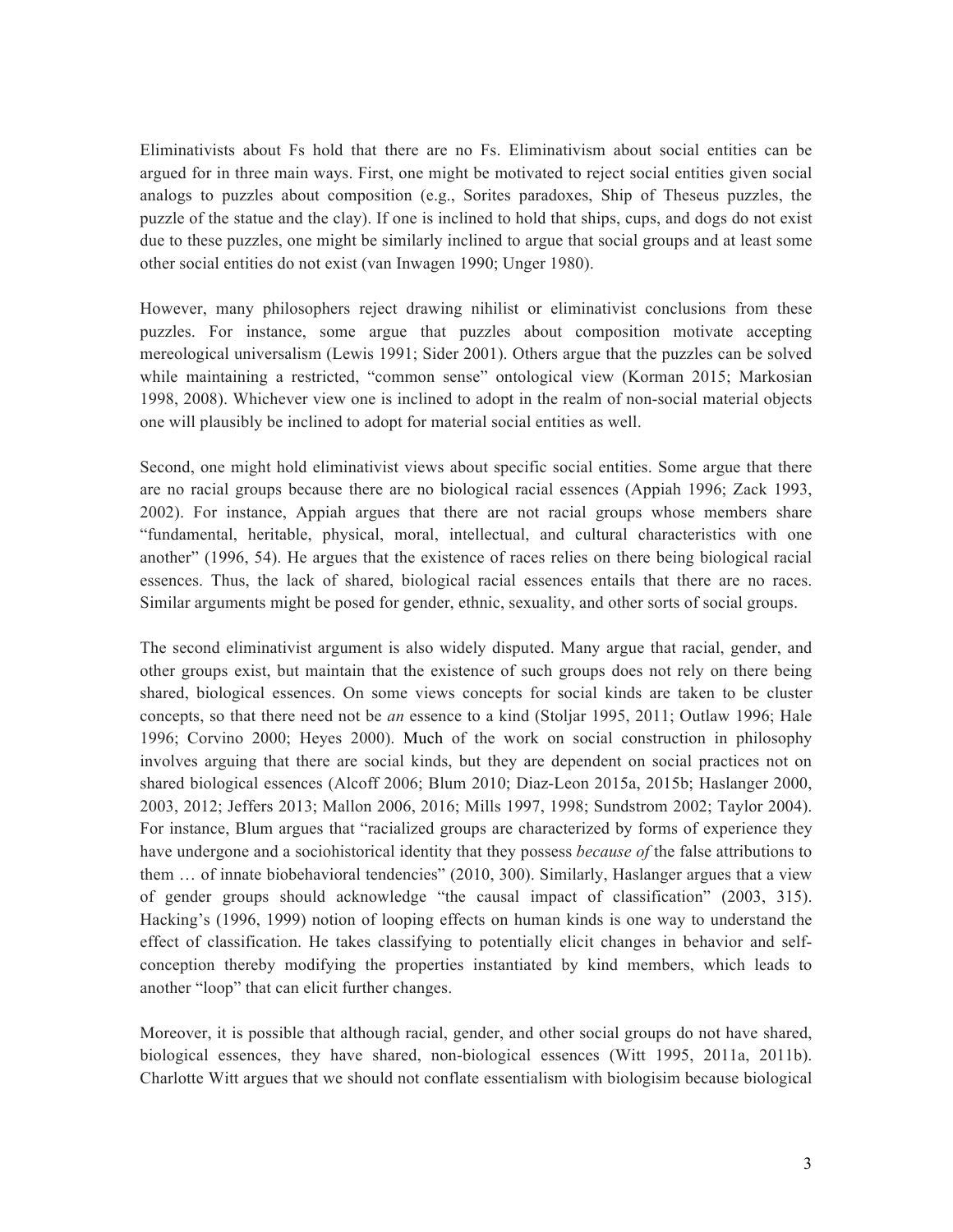Eliminativists about Fs hold that there are no Fs. Eliminativism about social entities can be argued for in three main ways. First, one might be motivated to reject social entities given social analogs to puzzles about composition (e.g., Sorites paradoxes, Ship of Theseus puzzles, the puzzle of the statue and the clay). If one is inclined to hold that ships, cups, and dogs do not exist due to these puzzles, one might be similarly inclined to argue that social groups and at least some other social entities do not exist (van Inwagen 1990; Unger 1980).

However, many philosophers reject drawing nihilist or eliminativist conclusions from these puzzles. For instance, some argue that puzzles about composition motivate accepting mereological universalism (Lewis 1991; Sider 2001). Others argue that the puzzles can be solved while maintaining a restricted, "common sense" ontological view (Korman 2015; Markosian 1998, 2008). Whichever view one is inclined to adopt in the realm of non-social material objects one will plausibly be inclined to adopt for material social entities as well.

Second, one might hold eliminativist views about specific social entities. Some argue that there are no racial groups because there are no biological racial essences (Appiah 1996; Zack 1993, 2002). For instance, Appiah argues that there are not racial groups whose members share "fundamental, heritable, physical, moral, intellectual, and cultural characteristics with one another" (1996, 54). He argues that the existence of races relies on there being biological racial essences. Thus, the lack of shared, biological racial essences entails that there are no races. Similar arguments might be posed for gender, ethnic, sexuality, and other sorts of social groups.

The second eliminativist argument is also widely disputed. Many argue that racial, gender, and other groups exist, but maintain that the existence of such groups does not rely on there being shared, biological essences. On some views concepts for social kinds are taken to be cluster concepts, so that there need not be *an* essence to a kind (Stoljar 1995, 2011; Outlaw 1996; Hale 1996; Corvino 2000; Heyes 2000). Much of the work on social construction in philosophy involves arguing that there are social kinds, but they are dependent on social practices not on shared biological essences (Alcoff 2006; Blum 2010; Diaz-Leon 2015a, 2015b; Haslanger 2000, 2003, 2012; Jeffers 2013; Mallon 2006, 2016; Mills 1997, 1998; Sundstrom 2002; Taylor 2004). For instance, Blum argues that "racialized groups are characterized by forms of experience they have undergone and a sociohistorical identity that they possess *because of* the false attributions to them … of innate biobehavioral tendencies" (2010, 300). Similarly, Haslanger argues that a view of gender groups should acknowledge "the causal impact of classification" (2003, 315). Hacking's (1996, 1999) notion of looping effects on human kinds is one way to understand the effect of classification. He takes classifying to potentially elicit changes in behavior and selfconception thereby modifying the properties instantiated by kind members, which leads to another "loop" that can elicit further changes.

Moreover, it is possible that although racial, gender, and other social groups do not have shared, biological essences, they have shared, non-biological essences (Witt 1995, 2011a, 2011b). Charlotte Witt argues that we should not conflate essentialism with biologisim because biological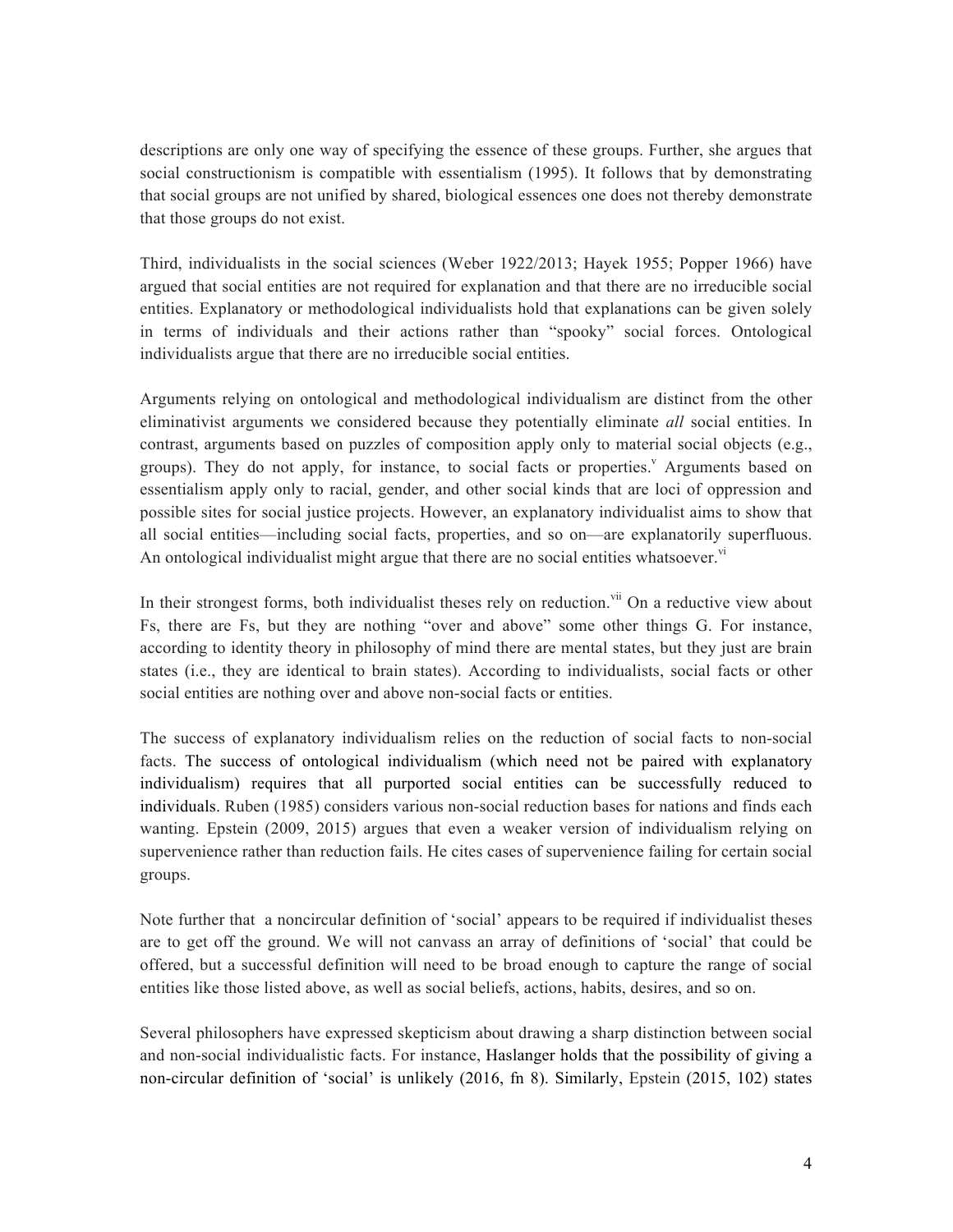descriptions are only one way of specifying the essence of these groups. Further, she argues that social constructionism is compatible with essentialism (1995). It follows that by demonstrating that social groups are not unified by shared, biological essences one does not thereby demonstrate that those groups do not exist.

Third, individualists in the social sciences (Weber 1922/2013; Hayek 1955; Popper 1966) have argued that social entities are not required for explanation and that there are no irreducible social entities. Explanatory or methodological individualists hold that explanations can be given solely in terms of individuals and their actions rather than "spooky" social forces. Ontological individualists argue that there are no irreducible social entities.

Arguments relying on ontological and methodological individualism are distinct from the other eliminativist arguments we considered because they potentially eliminate *all* social entities. In contrast, arguments based on puzzles of composition apply only to material social objects (e.g., groups). They do not apply, for instance, to social facts or properties.<sup>V</sup> Arguments based on essentialism apply only to racial, gender, and other social kinds that are loci of oppression and possible sites for social justice projects. However, an explanatory individualist aims to show that all social entities—including social facts, properties, and so on—are explanatorily superfluous. An ontological individualist might argue that there are no social entities whatsoever. $\overline{v}$ 

In their strongest forms, both individualist theses rely on reduction.<sup> $vi$ </sup> On a reductive view about Fs, there are Fs, but they are nothing "over and above" some other things G. For instance, according to identity theory in philosophy of mind there are mental states, but they just are brain states (i.e., they are identical to brain states). According to individualists, social facts or other social entities are nothing over and above non-social facts or entities.

The success of explanatory individualism relies on the reduction of social facts to non-social facts. The success of ontological individualism (which need not be paired with explanatory individualism) requires that all purported social entities can be successfully reduced to individuals. Ruben (1985) considers various non-social reduction bases for nations and finds each wanting. Epstein (2009, 2015) argues that even a weaker version of individualism relying on supervenience rather than reduction fails. He cites cases of supervenience failing for certain social groups.

Note further that a noncircular definition of 'social' appears to be required if individualist theses are to get off the ground. We will not canvass an array of definitions of 'social' that could be offered, but a successful definition will need to be broad enough to capture the range of social entities like those listed above, as well as social beliefs, actions, habits, desires, and so on.

Several philosophers have expressed skepticism about drawing a sharp distinction between social and non-social individualistic facts. For instance, Haslanger holds that the possibility of giving a non-circular definition of 'social' is unlikely (2016, fn 8). Similarly, Epstein (2015, 102) states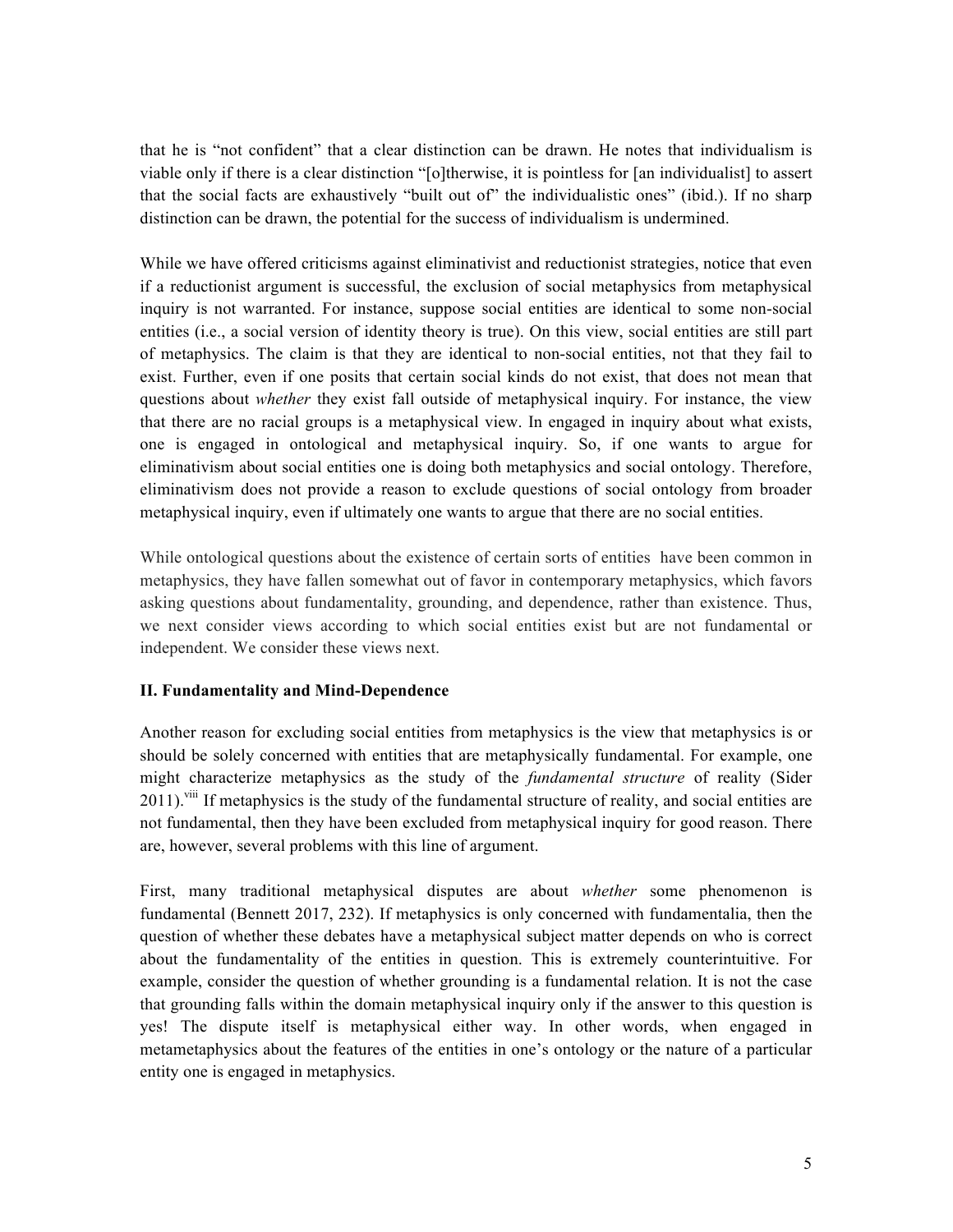that he is "not confident" that a clear distinction can be drawn. He notes that individualism is viable only if there is a clear distinction "[o]therwise, it is pointless for [an individualist] to assert that the social facts are exhaustively "built out of" the individualistic ones" (ibid.). If no sharp distinction can be drawn, the potential for the success of individualism is undermined.

While we have offered criticisms against eliminativist and reductionist strategies, notice that even if a reductionist argument is successful, the exclusion of social metaphysics from metaphysical inquiry is not warranted. For instance, suppose social entities are identical to some non-social entities (i.e., a social version of identity theory is true). On this view, social entities are still part of metaphysics. The claim is that they are identical to non-social entities, not that they fail to exist. Further, even if one posits that certain social kinds do not exist, that does not mean that questions about *whether* they exist fall outside of metaphysical inquiry. For instance, the view that there are no racial groups is a metaphysical view. In engaged in inquiry about what exists, one is engaged in ontological and metaphysical inquiry. So, if one wants to argue for eliminativism about social entities one is doing both metaphysics and social ontology. Therefore, eliminativism does not provide a reason to exclude questions of social ontology from broader metaphysical inquiry, even if ultimately one wants to argue that there are no social entities.

While ontological questions about the existence of certain sorts of entities have been common in metaphysics, they have fallen somewhat out of favor in contemporary metaphysics, which favors asking questions about fundamentality, grounding, and dependence, rather than existence. Thus, we next consider views according to which social entities exist but are not fundamental or independent. We consider these views next.

## **II. Fundamentality and Mind-Dependence**

Another reason for excluding social entities from metaphysics is the view that metaphysics is or should be solely concerned with entities that are metaphysically fundamental. For example, one might characterize metaphysics as the study of the *fundamental structure* of reality (Sider 2011).<sup>Viii</sup> If metaphysics is the study of the fundamental structure of reality, and social entities are not fundamental, then they have been excluded from metaphysical inquiry for good reason. There are, however, several problems with this line of argument.

First, many traditional metaphysical disputes are about *whether* some phenomenon is fundamental (Bennett 2017, 232). If metaphysics is only concerned with fundamentalia, then the question of whether these debates have a metaphysical subject matter depends on who is correct about the fundamentality of the entities in question. This is extremely counterintuitive. For example, consider the question of whether grounding is a fundamental relation. It is not the case that grounding falls within the domain metaphysical inquiry only if the answer to this question is yes! The dispute itself is metaphysical either way. In other words, when engaged in metametaphysics about the features of the entities in one's ontology or the nature of a particular entity one is engaged in metaphysics.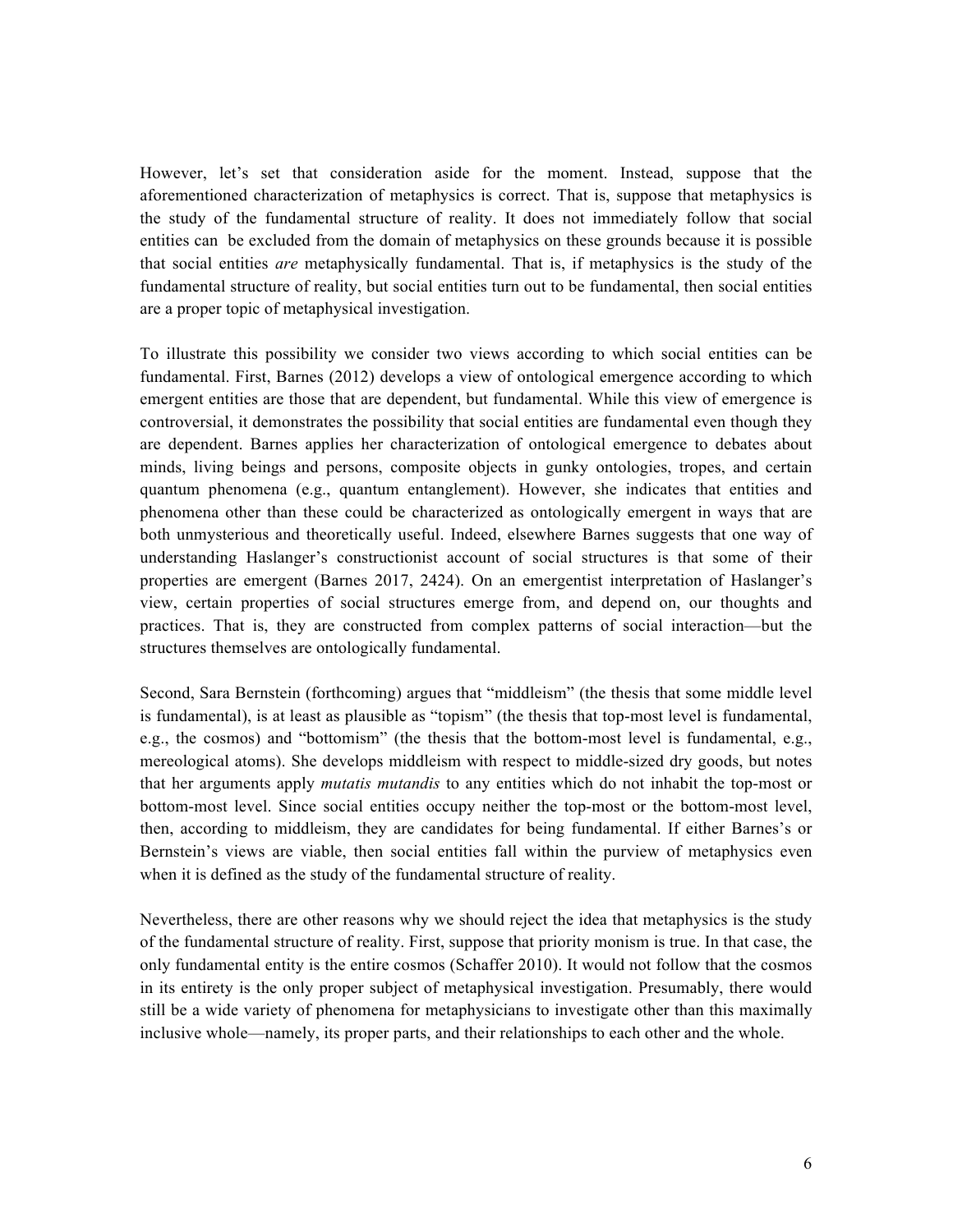However, let's set that consideration aside for the moment. Instead, suppose that the aforementioned characterization of metaphysics is correct. That is, suppose that metaphysics is the study of the fundamental structure of reality. It does not immediately follow that social entities can be excluded from the domain of metaphysics on these grounds because it is possible that social entities *are* metaphysically fundamental. That is, if metaphysics is the study of the fundamental structure of reality, but social entities turn out to be fundamental, then social entities are a proper topic of metaphysical investigation.

To illustrate this possibility we consider two views according to which social entities can be fundamental. First, Barnes (2012) develops a view of ontological emergence according to which emergent entities are those that are dependent, but fundamental. While this view of emergence is controversial, it demonstrates the possibility that social entities are fundamental even though they are dependent. Barnes applies her characterization of ontological emergence to debates about minds, living beings and persons, composite objects in gunky ontologies, tropes, and certain quantum phenomena (e.g., quantum entanglement). However, she indicates that entities and phenomena other than these could be characterized as ontologically emergent in ways that are both unmysterious and theoretically useful. Indeed, elsewhere Barnes suggests that one way of understanding Haslanger's constructionist account of social structures is that some of their properties are emergent (Barnes 2017, 2424). On an emergentist interpretation of Haslanger's view, certain properties of social structures emerge from, and depend on, our thoughts and practices. That is, they are constructed from complex patterns of social interaction—but the structures themselves are ontologically fundamental.

Second, Sara Bernstein (forthcoming) argues that "middleism" (the thesis that some middle level is fundamental), is at least as plausible as "topism" (the thesis that top-most level is fundamental, e.g., the cosmos) and "bottomism" (the thesis that the bottom-most level is fundamental, e.g., mereological atoms). She develops middleism with respect to middle-sized dry goods, but notes that her arguments apply *mutatis mutandis* to any entities which do not inhabit the top-most or bottom-most level. Since social entities occupy neither the top-most or the bottom-most level, then, according to middleism, they are candidates for being fundamental. If either Barnes's or Bernstein's views are viable, then social entities fall within the purview of metaphysics even when it is defined as the study of the fundamental structure of reality.

Nevertheless, there are other reasons why we should reject the idea that metaphysics is the study of the fundamental structure of reality. First, suppose that priority monism is true. In that case, the only fundamental entity is the entire cosmos (Schaffer 2010). It would not follow that the cosmos in its entirety is the only proper subject of metaphysical investigation. Presumably, there would still be a wide variety of phenomena for metaphysicians to investigate other than this maximally inclusive whole—namely, its proper parts, and their relationships to each other and the whole.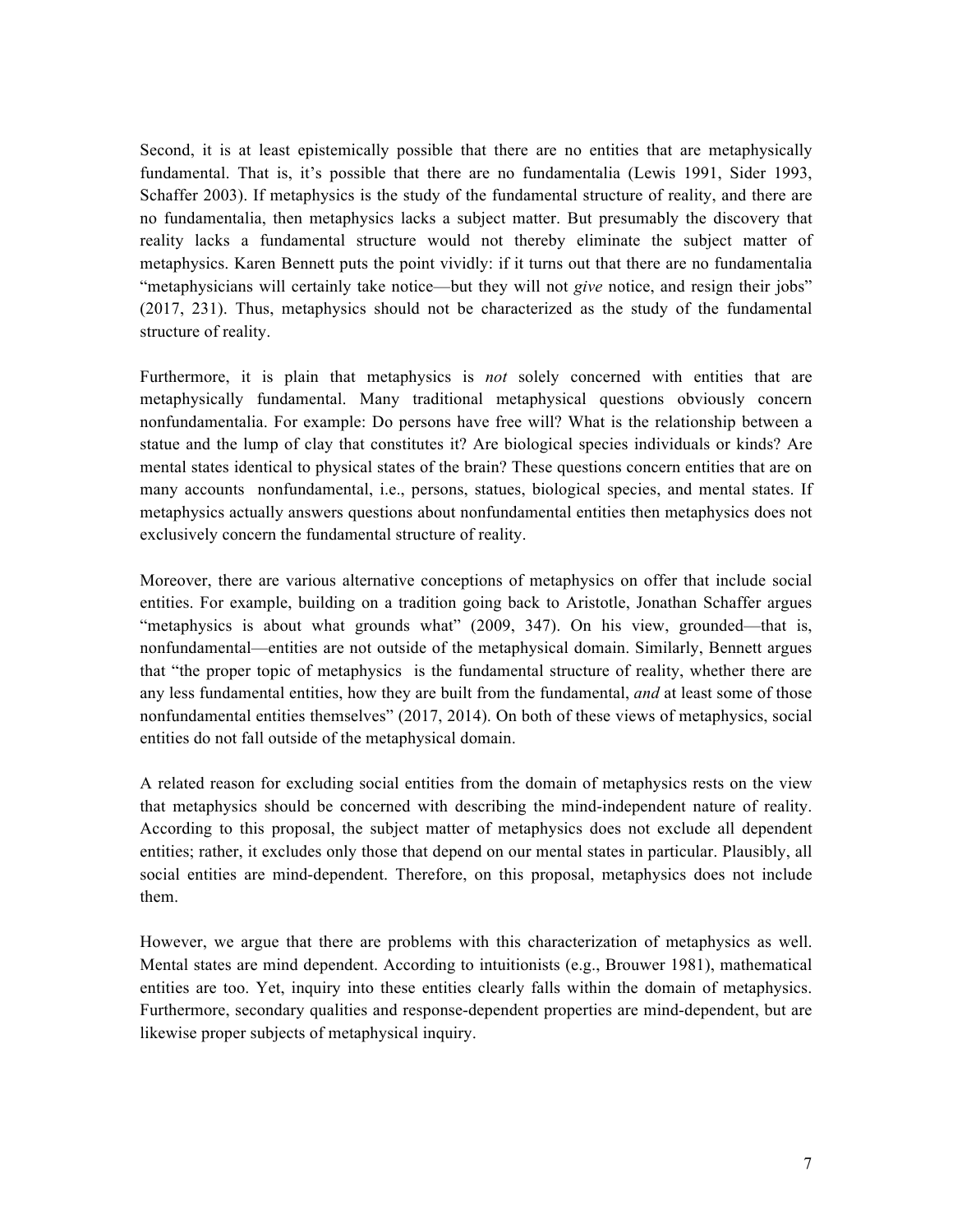Second, it is at least epistemically possible that there are no entities that are metaphysically fundamental. That is, it's possible that there are no fundamentalia (Lewis 1991, Sider 1993, Schaffer 2003). If metaphysics is the study of the fundamental structure of reality, and there are no fundamentalia, then metaphysics lacks a subject matter. But presumably the discovery that reality lacks a fundamental structure would not thereby eliminate the subject matter of metaphysics. Karen Bennett puts the point vividly: if it turns out that there are no fundamentalia "metaphysicians will certainly take notice—but they will not *give* notice, and resign their jobs" (2017, 231). Thus, metaphysics should not be characterized as the study of the fundamental structure of reality.

Furthermore, it is plain that metaphysics is *not* solely concerned with entities that are metaphysically fundamental. Many traditional metaphysical questions obviously concern nonfundamentalia. For example: Do persons have free will? What is the relationship between a statue and the lump of clay that constitutes it? Are biological species individuals or kinds? Are mental states identical to physical states of the brain? These questions concern entities that are on many accounts nonfundamental, i.e., persons, statues, biological species, and mental states. If metaphysics actually answers questions about nonfundamental entities then metaphysics does not exclusively concern the fundamental structure of reality.

Moreover, there are various alternative conceptions of metaphysics on offer that include social entities. For example, building on a tradition going back to Aristotle, Jonathan Schaffer argues "metaphysics is about what grounds what" (2009, 347). On his view, grounded—that is, nonfundamental—entities are not outside of the metaphysical domain. Similarly, Bennett argues that "the proper topic of metaphysics is the fundamental structure of reality, whether there are any less fundamental entities, how they are built from the fundamental, *and* at least some of those nonfundamental entities themselves" (2017, 2014). On both of these views of metaphysics, social entities do not fall outside of the metaphysical domain.

A related reason for excluding social entities from the domain of metaphysics rests on the view that metaphysics should be concerned with describing the mind-independent nature of reality. According to this proposal, the subject matter of metaphysics does not exclude all dependent entities; rather, it excludes only those that depend on our mental states in particular. Plausibly, all social entities are mind-dependent. Therefore, on this proposal, metaphysics does not include them.

However, we argue that there are problems with this characterization of metaphysics as well. Mental states are mind dependent. According to intuitionists (e.g., Brouwer 1981), mathematical entities are too. Yet, inquiry into these entities clearly falls within the domain of metaphysics. Furthermore, secondary qualities and response-dependent properties are mind-dependent, but are likewise proper subjects of metaphysical inquiry.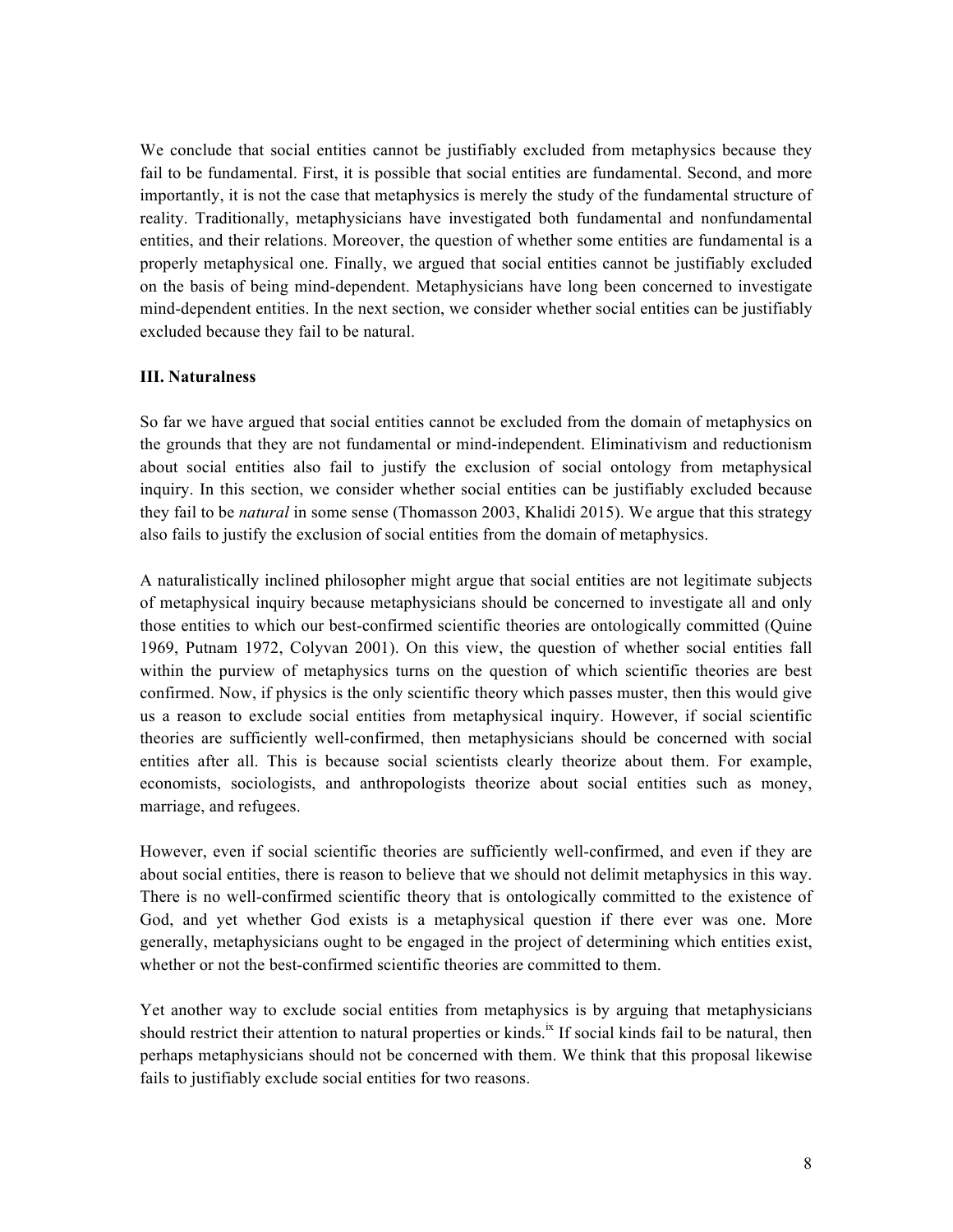We conclude that social entities cannot be justifiably excluded from metaphysics because they fail to be fundamental. First, it is possible that social entities are fundamental. Second, and more importantly, it is not the case that metaphysics is merely the study of the fundamental structure of reality. Traditionally, metaphysicians have investigated both fundamental and nonfundamental entities, and their relations. Moreover, the question of whether some entities are fundamental is a properly metaphysical one. Finally, we argued that social entities cannot be justifiably excluded on the basis of being mind-dependent. Metaphysicians have long been concerned to investigate mind-dependent entities. In the next section, we consider whether social entities can be justifiably excluded because they fail to be natural.

### **III. Naturalness**

So far we have argued that social entities cannot be excluded from the domain of metaphysics on the grounds that they are not fundamental or mind-independent. Eliminativism and reductionism about social entities also fail to justify the exclusion of social ontology from metaphysical inquiry. In this section, we consider whether social entities can be justifiably excluded because they fail to be *natural* in some sense (Thomasson 2003, Khalidi 2015). We argue that this strategy also fails to justify the exclusion of social entities from the domain of metaphysics.

A naturalistically inclined philosopher might argue that social entities are not legitimate subjects of metaphysical inquiry because metaphysicians should be concerned to investigate all and only those entities to which our best-confirmed scientific theories are ontologically committed (Quine 1969, Putnam 1972, Colyvan 2001). On this view, the question of whether social entities fall within the purview of metaphysics turns on the question of which scientific theories are best confirmed. Now, if physics is the only scientific theory which passes muster, then this would give us a reason to exclude social entities from metaphysical inquiry. However, if social scientific theories are sufficiently well-confirmed, then metaphysicians should be concerned with social entities after all. This is because social scientists clearly theorize about them. For example, economists, sociologists, and anthropologists theorize about social entities such as money, marriage, and refugees.

However, even if social scientific theories are sufficiently well-confirmed, and even if they are about social entities, there is reason to believe that we should not delimit metaphysics in this way. There is no well-confirmed scientific theory that is ontologically committed to the existence of God, and yet whether God exists is a metaphysical question if there ever was one. More generally, metaphysicians ought to be engaged in the project of determining which entities exist, whether or not the best-confirmed scientific theories are committed to them.

Yet another way to exclude social entities from metaphysics is by arguing that metaphysicians should restrict their attention to natural properties or kinds.<sup>ix</sup> If social kinds fail to be natural, then perhaps metaphysicians should not be concerned with them. We think that this proposal likewise fails to justifiably exclude social entities for two reasons.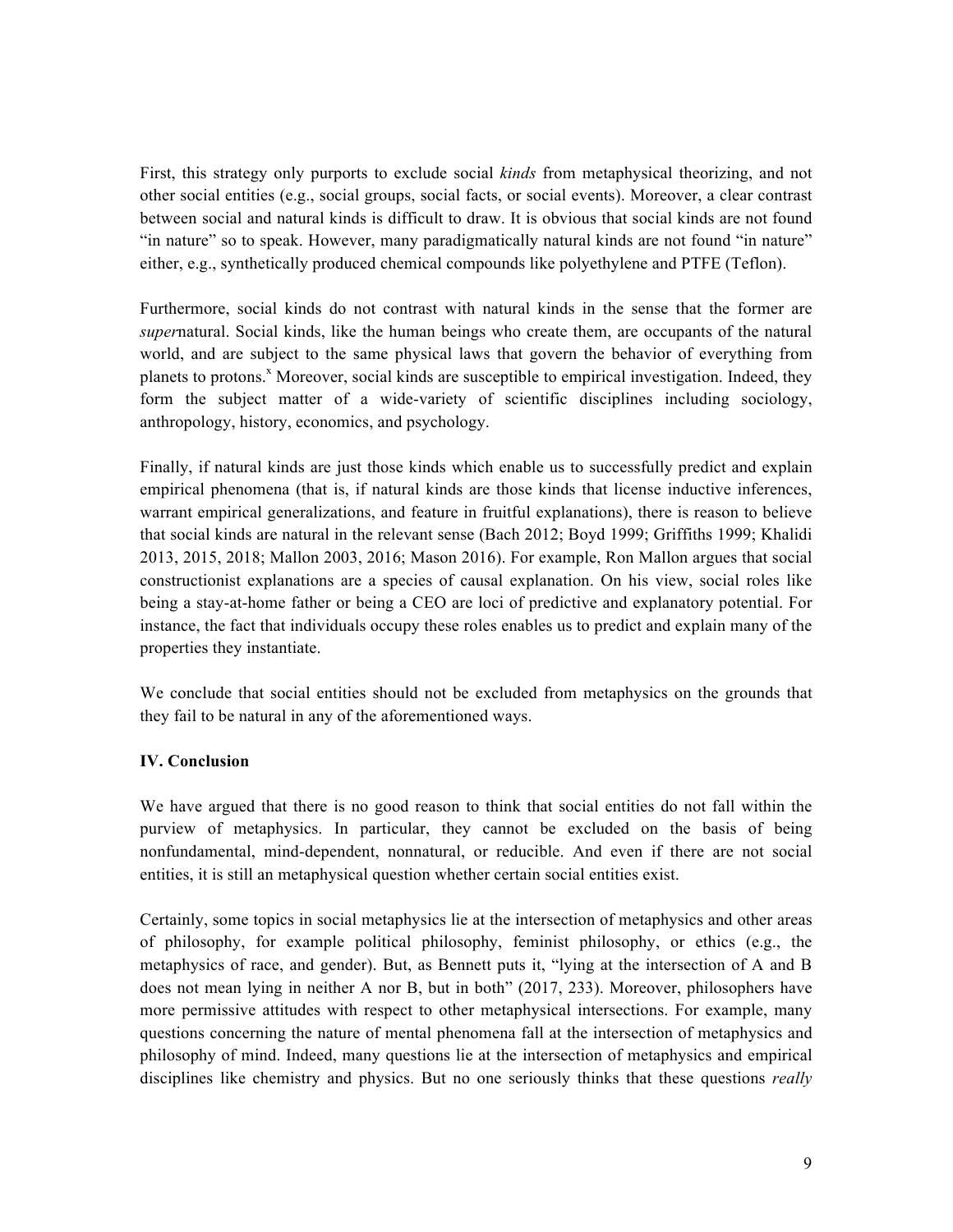First, this strategy only purports to exclude social *kinds* from metaphysical theorizing, and not other social entities (e.g., social groups, social facts, or social events). Moreover, a clear contrast between social and natural kinds is difficult to draw. It is obvious that social kinds are not found "in nature" so to speak. However, many paradigmatically natural kinds are not found "in nature" either, e.g., synthetically produced chemical compounds like polyethylene and PTFE (Teflon).

Furthermore, social kinds do not contrast with natural kinds in the sense that the former are *super*natural. Social kinds, like the human beings who create them, are occupants of the natural world, and are subject to the same physical laws that govern the behavior of everything from planets to protons.<sup>x</sup> Moreover, social kinds are susceptible to empirical investigation. Indeed, they form the subject matter of a wide-variety of scientific disciplines including sociology, anthropology, history, economics, and psychology.

Finally, if natural kinds are just those kinds which enable us to successfully predict and explain empirical phenomena (that is, if natural kinds are those kinds that license inductive inferences, warrant empirical generalizations, and feature in fruitful explanations), there is reason to believe that social kinds are natural in the relevant sense (Bach 2012; Boyd 1999; Griffiths 1999; Khalidi 2013, 2015, 2018; Mallon 2003, 2016; Mason 2016). For example, Ron Mallon argues that social constructionist explanations are a species of causal explanation. On his view, social roles like being a stay-at-home father or being a CEO are loci of predictive and explanatory potential. For instance, the fact that individuals occupy these roles enables us to predict and explain many of the properties they instantiate.

We conclude that social entities should not be excluded from metaphysics on the grounds that they fail to be natural in any of the aforementioned ways.

## **IV. Conclusion**

We have argued that there is no good reason to think that social entities do not fall within the purview of metaphysics. In particular, they cannot be excluded on the basis of being nonfundamental, mind-dependent, nonnatural, or reducible. And even if there are not social entities, it is still an metaphysical question whether certain social entities exist.

Certainly, some topics in social metaphysics lie at the intersection of metaphysics and other areas of philosophy, for example political philosophy, feminist philosophy, or ethics (e.g., the metaphysics of race, and gender). But, as Bennett puts it, "lying at the intersection of A and B does not mean lying in neither A nor B, but in both" (2017, 233). Moreover, philosophers have more permissive attitudes with respect to other metaphysical intersections. For example, many questions concerning the nature of mental phenomena fall at the intersection of metaphysics and philosophy of mind. Indeed, many questions lie at the intersection of metaphysics and empirical disciplines like chemistry and physics. But no one seriously thinks that these questions *really*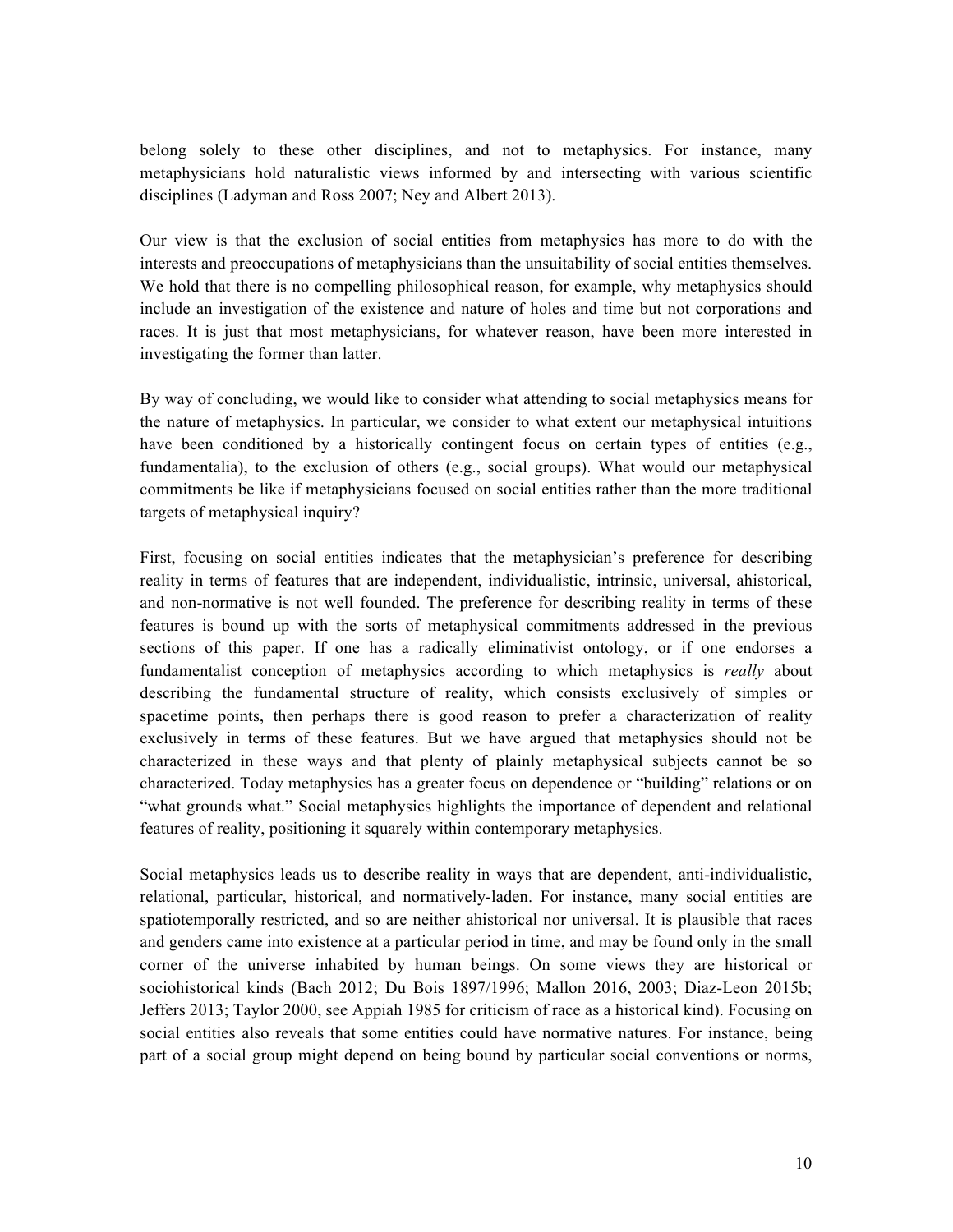belong solely to these other disciplines, and not to metaphysics. For instance, many metaphysicians hold naturalistic views informed by and intersecting with various scientific disciplines (Ladyman and Ross 2007; Ney and Albert 2013).

Our view is that the exclusion of social entities from metaphysics has more to do with the interests and preoccupations of metaphysicians than the unsuitability of social entities themselves. We hold that there is no compelling philosophical reason, for example, why metaphysics should include an investigation of the existence and nature of holes and time but not corporations and races. It is just that most metaphysicians, for whatever reason, have been more interested in investigating the former than latter.

By way of concluding, we would like to consider what attending to social metaphysics means for the nature of metaphysics. In particular, we consider to what extent our metaphysical intuitions have been conditioned by a historically contingent focus on certain types of entities (e.g., fundamentalia), to the exclusion of others (e.g., social groups). What would our metaphysical commitments be like if metaphysicians focused on social entities rather than the more traditional targets of metaphysical inquiry?

First, focusing on social entities indicates that the metaphysician's preference for describing reality in terms of features that are independent, individualistic, intrinsic, universal, ahistorical, and non-normative is not well founded. The preference for describing reality in terms of these features is bound up with the sorts of metaphysical commitments addressed in the previous sections of this paper. If one has a radically eliminativist ontology, or if one endorses a fundamentalist conception of metaphysics according to which metaphysics is *really* about describing the fundamental structure of reality, which consists exclusively of simples or spacetime points, then perhaps there is good reason to prefer a characterization of reality exclusively in terms of these features. But we have argued that metaphysics should not be characterized in these ways and that plenty of plainly metaphysical subjects cannot be so characterized. Today metaphysics has a greater focus on dependence or "building" relations or on "what grounds what." Social metaphysics highlights the importance of dependent and relational features of reality, positioning it squarely within contemporary metaphysics.

Social metaphysics leads us to describe reality in ways that are dependent, anti-individualistic, relational, particular, historical, and normatively-laden. For instance, many social entities are spatiotemporally restricted, and so are neither ahistorical nor universal. It is plausible that races and genders came into existence at a particular period in time, and may be found only in the small corner of the universe inhabited by human beings. On some views they are historical or sociohistorical kinds (Bach 2012; Du Bois 1897/1996; Mallon 2016, 2003; Diaz-Leon 2015b; Jeffers 2013; Taylor 2000, see Appiah 1985 for criticism of race as a historical kind). Focusing on social entities also reveals that some entities could have normative natures. For instance, being part of a social group might depend on being bound by particular social conventions or norms,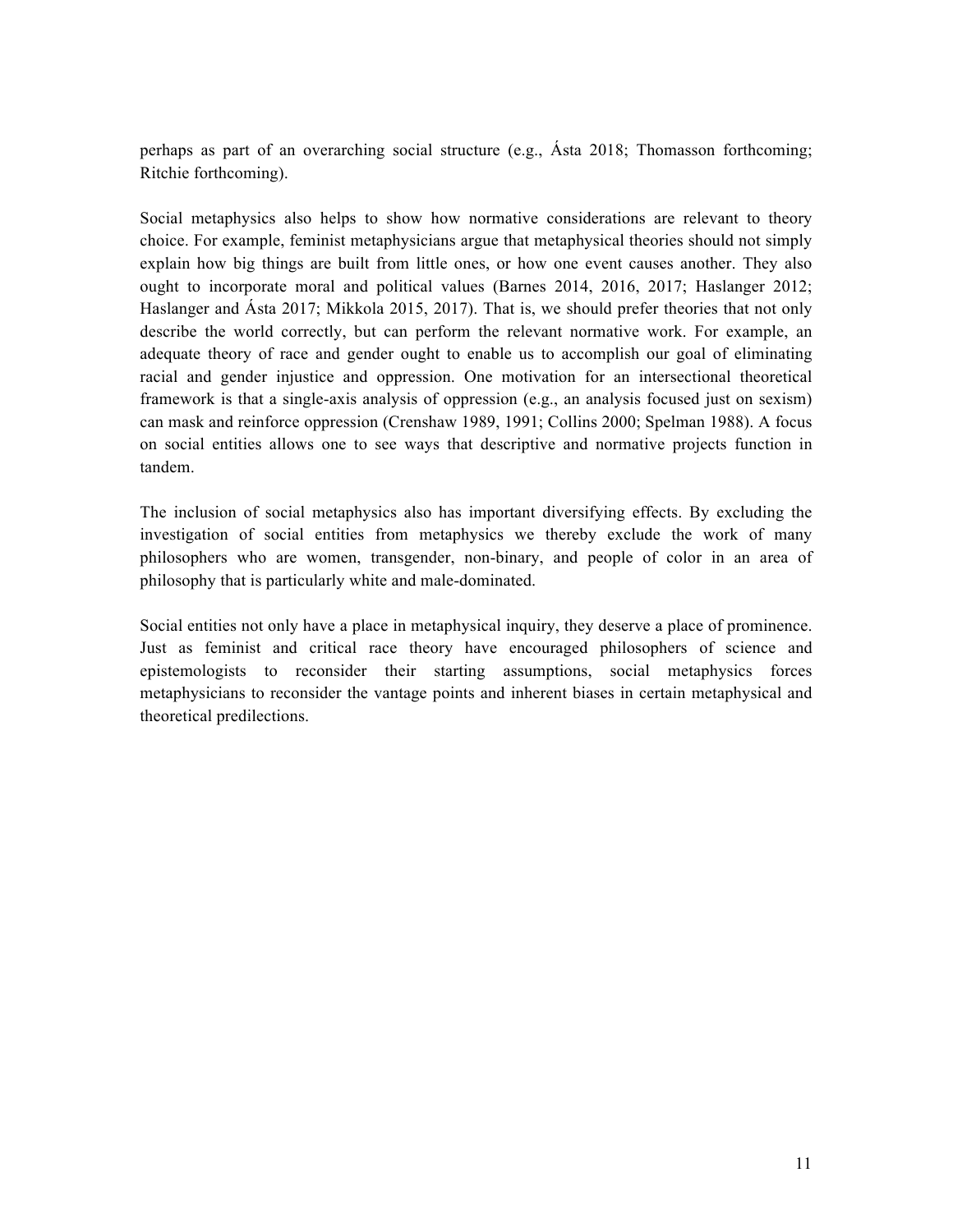perhaps as part of an overarching social structure (e.g., Ásta 2018; Thomasson forthcoming; Ritchie forthcoming).

Social metaphysics also helps to show how normative considerations are relevant to theory choice. For example, feminist metaphysicians argue that metaphysical theories should not simply explain how big things are built from little ones, or how one event causes another. They also ought to incorporate moral and political values (Barnes 2014, 2016, 2017; Haslanger 2012; Haslanger and Ásta 2017; Mikkola 2015, 2017). That is, we should prefer theories that not only describe the world correctly, but can perform the relevant normative work. For example, an adequate theory of race and gender ought to enable us to accomplish our goal of eliminating racial and gender injustice and oppression. One motivation for an intersectional theoretical framework is that a single-axis analysis of oppression (e.g., an analysis focused just on sexism) can mask and reinforce oppression (Crenshaw 1989, 1991; Collins 2000; Spelman 1988). A focus on social entities allows one to see ways that descriptive and normative projects function in tandem.

The inclusion of social metaphysics also has important diversifying effects. By excluding the investigation of social entities from metaphysics we thereby exclude the work of many philosophers who are women, transgender, non-binary, and people of color in an area of philosophy that is particularly white and male-dominated.

Social entities not only have a place in metaphysical inquiry, they deserve a place of prominence. Just as feminist and critical race theory have encouraged philosophers of science and epistemologists to reconsider their starting assumptions, social metaphysics forces metaphysicians to reconsider the vantage points and inherent biases in certain metaphysical and theoretical predilections.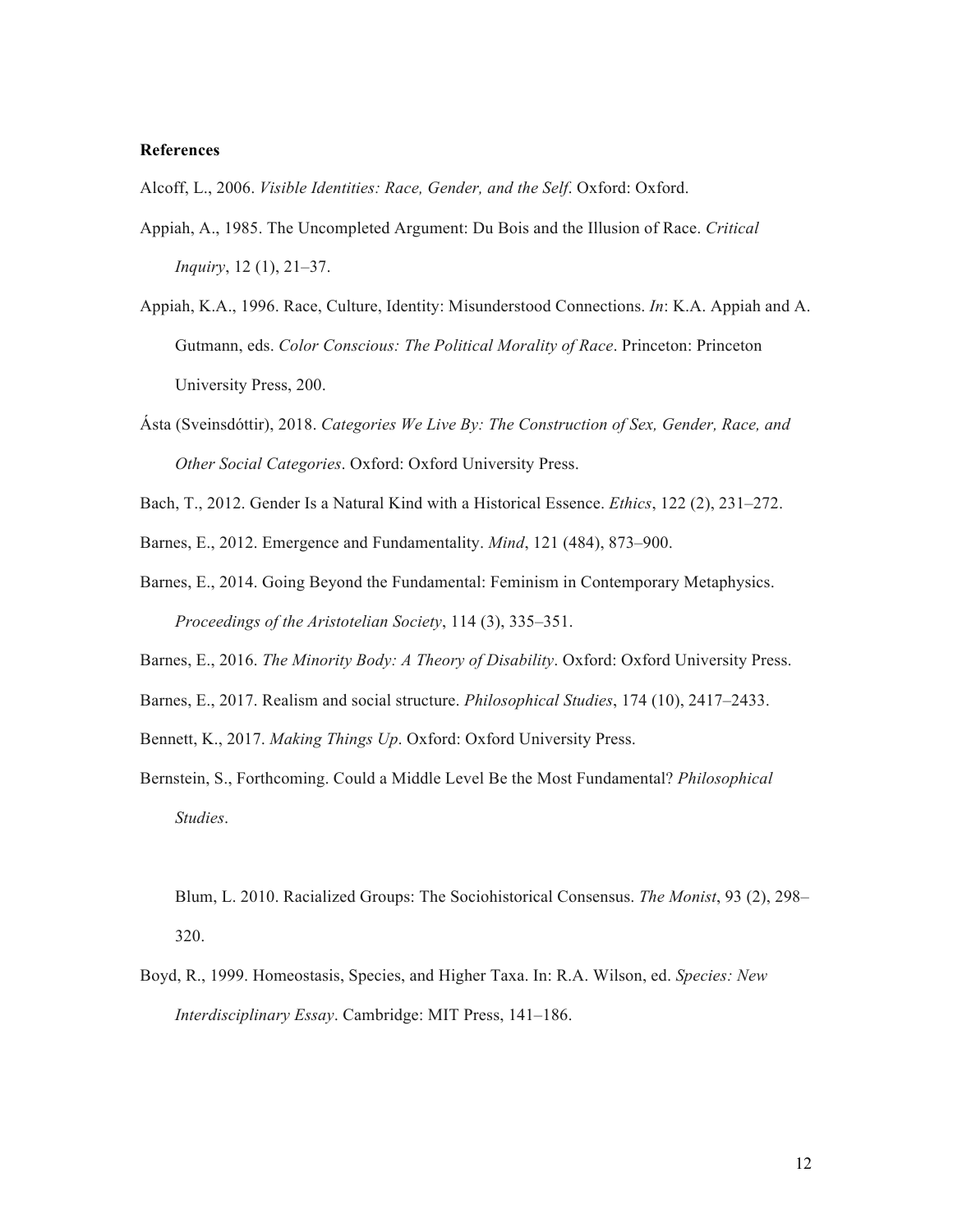### **References**

Alcoff, L., 2006. *Visible Identities: Race, Gender, and the Self*. Oxford: Oxford.

- Appiah, A., 1985. The Uncompleted Argument: Du Bois and the Illusion of Race. *Critical Inquiry*, 12 (1), 21–37.
- Appiah, K.A., 1996. Race, Culture, Identity: Misunderstood Connections. *In*: K.A. Appiah and A. Gutmann, eds. *Color Conscious: The Political Morality of Race*. Princeton: Princeton University Press, 200.
- Ásta (Sveinsdóttir), 2018. *Categories We Live By: The Construction of Sex, Gender, Race, and Other Social Categories*. Oxford: Oxford University Press.
- Bach, T., 2012. Gender Is a Natural Kind with a Historical Essence. *Ethics*, 122 (2), 231–272.
- Barnes, E., 2012. Emergence and Fundamentality. *Mind*, 121 (484), 873–900.
- Barnes, E., 2014. Going Beyond the Fundamental: Feminism in Contemporary Metaphysics. *Proceedings of the Aristotelian Society*, 114 (3), 335–351.
- Barnes, E., 2016. *The Minority Body: A Theory of Disability*. Oxford: Oxford University Press.
- Barnes, E., 2017. Realism and social structure. *Philosophical Studies*, 174 (10), 2417–2433.
- Bennett, K., 2017. *Making Things Up*. Oxford: Oxford University Press.
- Bernstein, S., Forthcoming. Could a Middle Level Be the Most Fundamental? *Philosophical Studies*.

Blum, L. 2010. Racialized Groups: The Sociohistorical Consensus. *The Monist*, 93 (2), 298– 320.

Boyd, R., 1999. Homeostasis, Species, and Higher Taxa. In: R.A. Wilson, ed. *Species: New Interdisciplinary Essay*. Cambridge: MIT Press, 141–186.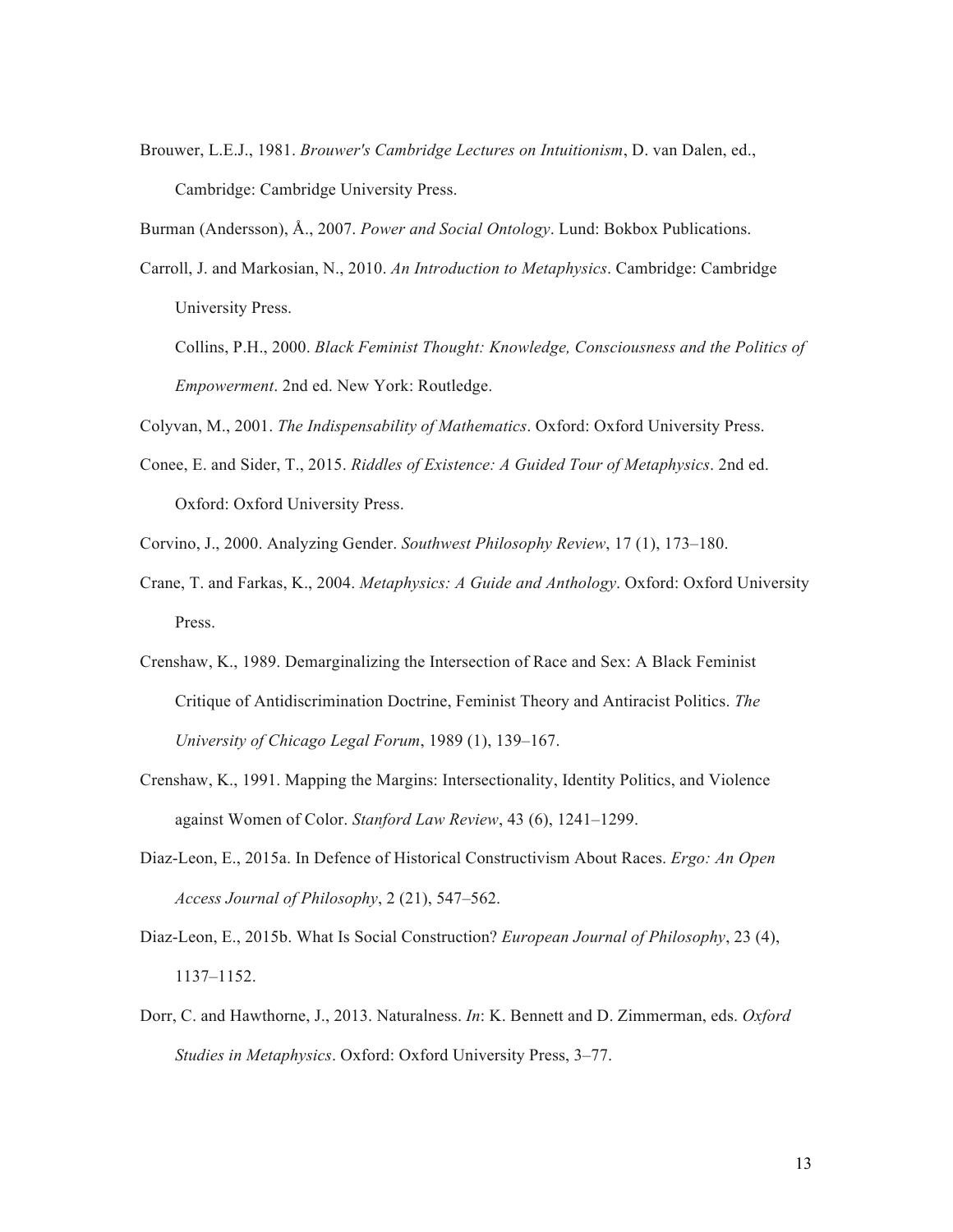- Brouwer, L.E.J., 1981. *Brouwer's Cambridge Lectures on Intuitionism*, D. van Dalen, ed., Cambridge: Cambridge University Press.
- Burman (Andersson), Å., 2007. *Power and Social Ontology*. Lund: Bokbox Publications.
- Carroll, J. and Markosian, N., 2010. *An Introduction to Metaphysics*. Cambridge: Cambridge University Press.

Collins, P.H., 2000. *Black Feminist Thought: Knowledge, Consciousness and the Politics of Empowerment*. 2nd ed. New York: Routledge.

Colyvan, M., 2001. *The Indispensability of Mathematics*. Oxford: Oxford University Press.

Conee, E. and Sider, T., 2015. *Riddles of Existence: A Guided Tour of Metaphysics*. 2nd ed. Oxford: Oxford University Press.

Corvino, J., 2000. Analyzing Gender. *Southwest Philosophy Review*, 17 (1), 173–180.

- Crane, T. and Farkas, K., 2004. *Metaphysics: A Guide and Anthology*. Oxford: Oxford University Press.
- Crenshaw, K., 1989. Demarginalizing the Intersection of Race and Sex: A Black Feminist Critique of Antidiscrimination Doctrine, Feminist Theory and Antiracist Politics. *The University of Chicago Legal Forum*, 1989 (1), 139–167.
- Crenshaw, K., 1991. Mapping the Margins: Intersectionality, Identity Politics, and Violence against Women of Color. *Stanford Law Review*, 43 (6), 1241–1299.
- Diaz-Leon, E., 2015a. In Defence of Historical Constructivism About Races. *Ergo: An Open Access Journal of Philosophy*, 2 (21), 547–562.
- Diaz-Leon, E., 2015b. What Is Social Construction? *European Journal of Philosophy*, 23 (4), 1137–1152.
- Dorr, C. and Hawthorne, J., 2013. Naturalness. *In*: K. Bennett and D. Zimmerman, eds. *Oxford Studies in Metaphysics*. Oxford: Oxford University Press, 3–77.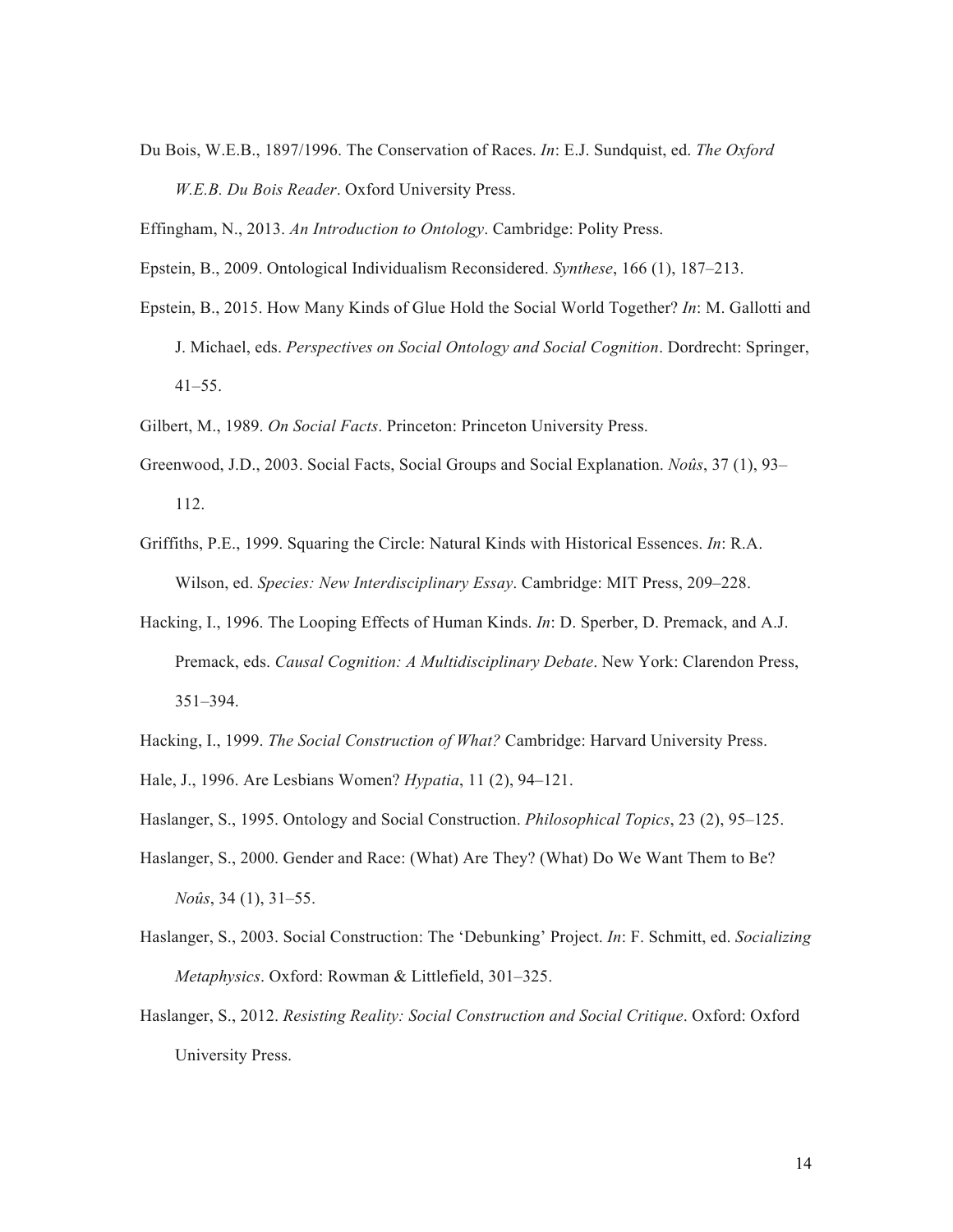- Du Bois, W.E.B., 1897/1996. The Conservation of Races. *In*: E.J. Sundquist, ed. *The Oxford W.E.B. Du Bois Reader*. Oxford University Press.
- Effingham, N., 2013. *An Introduction to Ontology*. Cambridge: Polity Press.
- Epstein, B., 2009. Ontological Individualism Reconsidered. *Synthese*, 166 (1), 187–213.
- Epstein, B., 2015. How Many Kinds of Glue Hold the Social World Together? *In*: M. Gallotti and J. Michael, eds. *Perspectives on Social Ontology and Social Cognition*. Dordrecht: Springer, 41–55.
- Gilbert, M., 1989. *On Social Facts*. Princeton: Princeton University Press.
- Greenwood, J.D., 2003. Social Facts, Social Groups and Social Explanation. *Noûs*, 37 (1), 93– 112.
- Griffiths, P.E., 1999. Squaring the Circle: Natural Kinds with Historical Essences. *In*: R.A. Wilson, ed. *Species: New Interdisciplinary Essay*. Cambridge: MIT Press, 209–228.
- Hacking, I., 1996. The Looping Effects of Human Kinds. *In*: D. Sperber, D. Premack, and A.J. Premack, eds. *Causal Cognition: A Multidisciplinary Debate*. New York: Clarendon Press, 351–394.
- Hacking, I., 1999. *The Social Construction of What?* Cambridge: Harvard University Press.
- Hale, J., 1996. Are Lesbians Women? *Hypatia*, 11 (2), 94–121.
- Haslanger, S., 1995. Ontology and Social Construction. *Philosophical Topics*, 23 (2), 95–125.
- Haslanger, S., 2000. Gender and Race: (What) Are They? (What) Do We Want Them to Be? *Noûs*, 34 (1), 31–55.
- Haslanger, S., 2003. Social Construction: The 'Debunking' Project. *In*: F. Schmitt, ed. *Socializing Metaphysics*. Oxford: Rowman & Littlefield, 301–325.
- Haslanger, S., 2012. *Resisting Reality: Social Construction and Social Critique*. Oxford: Oxford University Press.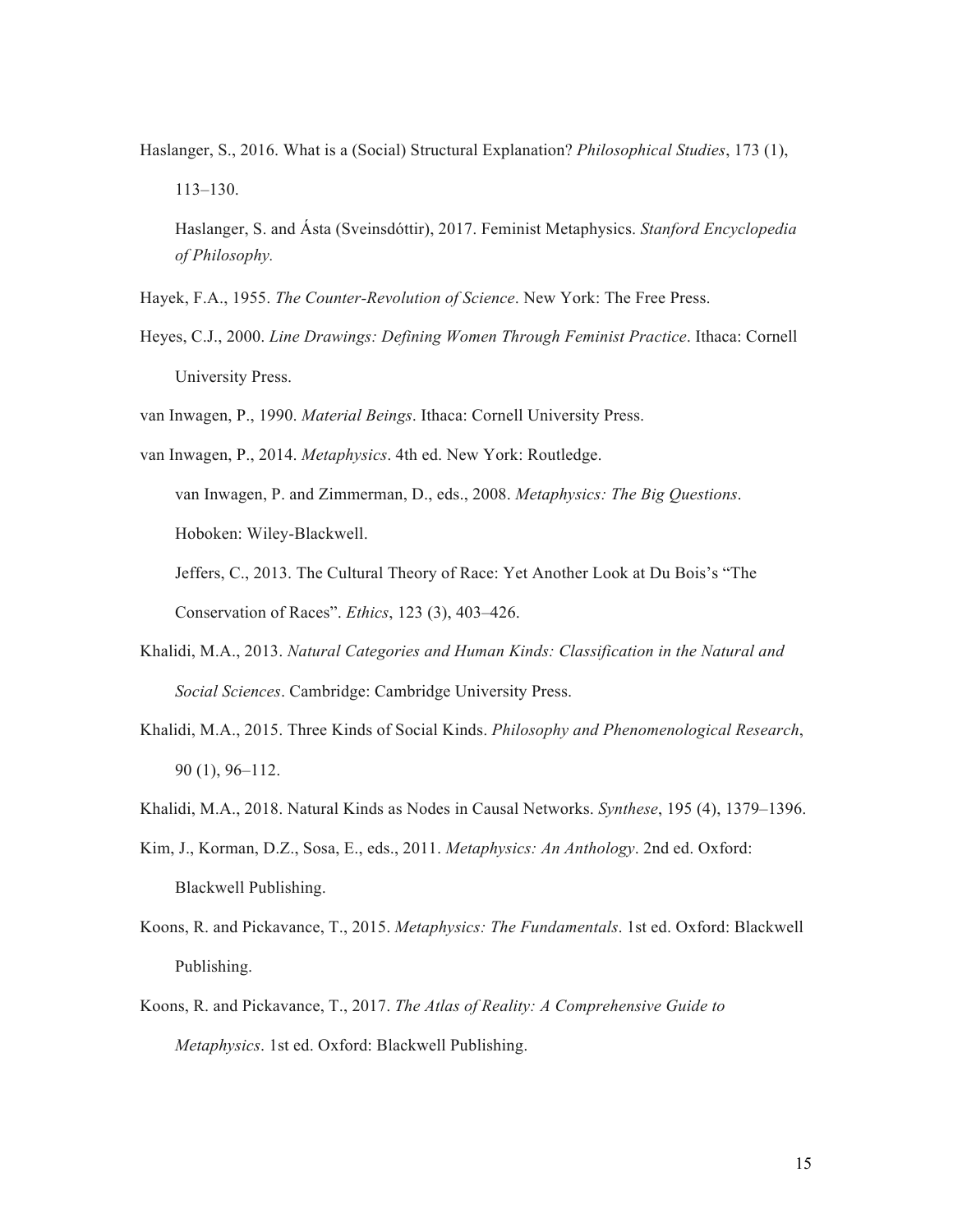Haslanger, S., 2016. What is a (Social) Structural Explanation? *Philosophical Studies*, 173 (1), 113–130.

Haslanger, S. and Ásta (Sveinsdóttir), 2017. Feminist Metaphysics. *Stanford Encyclopedia of Philosophy.*

Hayek, F.A., 1955. *The Counter-Revolution of Science*. New York: The Free Press.

Heyes, C.J., 2000. *Line Drawings: Defining Women Through Feminist Practice*. Ithaca: Cornell University Press.

van Inwagen, P., 1990. *Material Beings*. Ithaca: Cornell University Press.

van Inwagen, P., 2014. *Metaphysics*. 4th ed. New York: Routledge. van Inwagen, P. and Zimmerman, D., eds., 2008. *Metaphysics: The Big Questions*. Hoboken: Wiley-Blackwell.

Jeffers, C., 2013. The Cultural Theory of Race: Yet Another Look at Du Bois's "The Conservation of Races". *Ethics*, 123 (3), 403–426.

- Khalidi, M.A., 2013. *Natural Categories and Human Kinds: Classification in the Natural and Social Sciences*. Cambridge: Cambridge University Press.
- Khalidi, M.A., 2015. Three Kinds of Social Kinds. *Philosophy and Phenomenological Research*, 90 (1), 96–112.
- Khalidi, M.A., 2018. Natural Kinds as Nodes in Causal Networks. *Synthese*, 195 (4), 1379–1396.
- Kim, J., Korman, D.Z., Sosa, E., eds., 2011. *Metaphysics: An Anthology*. 2nd ed. Oxford: Blackwell Publishing.
- Koons, R. and Pickavance, T., 2015. *Metaphysics: The Fundamentals*. 1st ed. Oxford: Blackwell Publishing.
- Koons, R. and Pickavance, T., 2017. *The Atlas of Reality: A Comprehensive Guide to Metaphysics*. 1st ed. Oxford: Blackwell Publishing.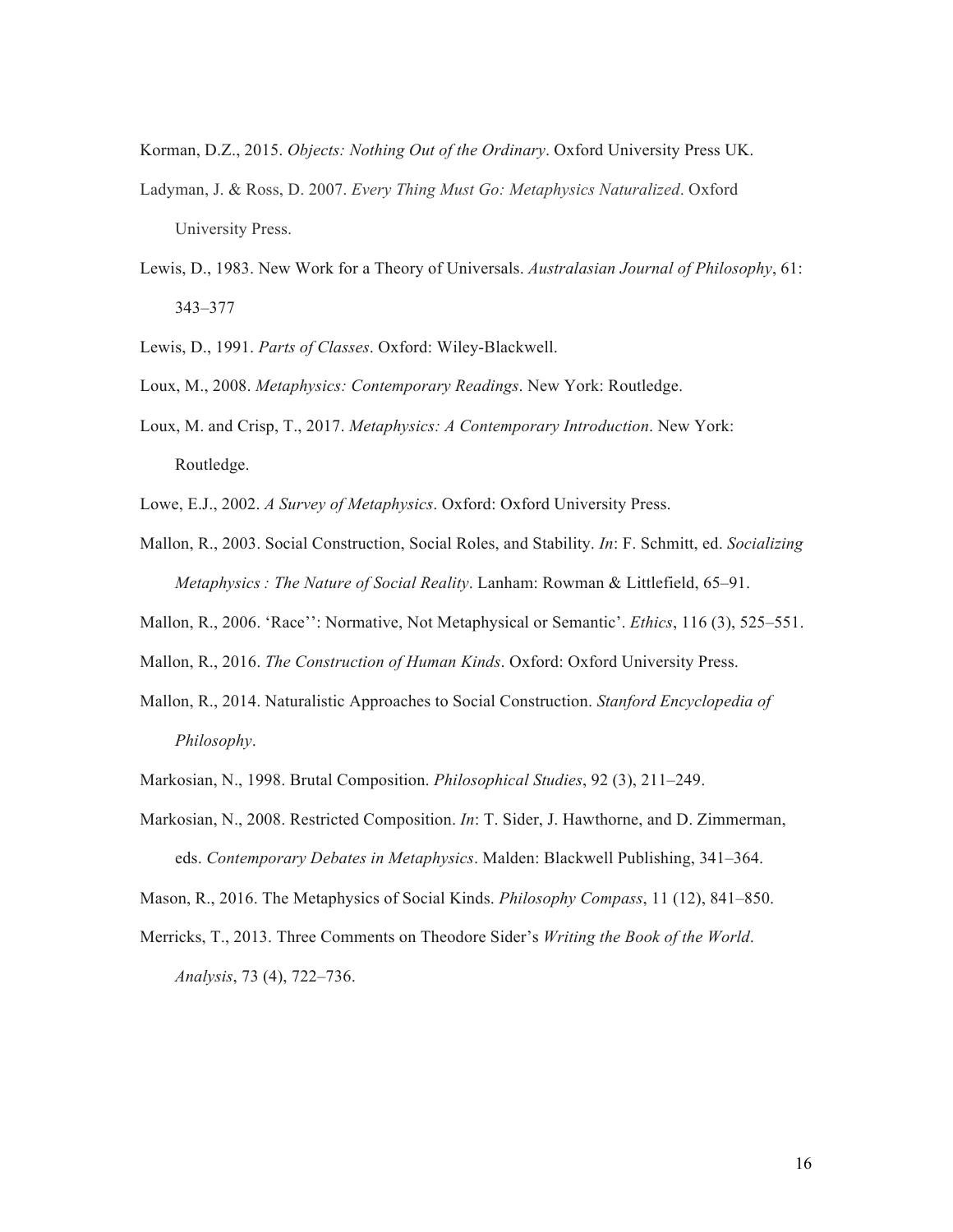Korman, D.Z., 2015. *Objects: Nothing Out of the Ordinary*. Oxford University Press UK.

- Ladyman, J. & Ross, D. 2007. *Every Thing Must Go: Metaphysics Naturalized*. Oxford University Press.
- Lewis, D., 1983. New Work for a Theory of Universals. *Australasian Journal of Philosophy*, 61: 343–377
- Lewis, D., 1991. *Parts of Classes*. Oxford: Wiley-Blackwell.

Loux, M., 2008. *Metaphysics: Contemporary Readings*. New York: Routledge.

- Loux, M. and Crisp, T., 2017. *Metaphysics: A Contemporary Introduction*. New York: Routledge.
- Lowe, E.J., 2002. *A Survey of Metaphysics*. Oxford: Oxford University Press.
- Mallon, R., 2003. Social Construction, Social Roles, and Stability. *In*: F. Schmitt, ed. *Socializing Metaphysics : The Nature of Social Reality*. Lanham: Rowman & Littlefield, 65–91.
- Mallon, R., 2006. 'Race'': Normative, Not Metaphysical or Semantic'. *Ethics*, 116 (3), 525–551.
- Mallon, R., 2016. *The Construction of Human Kinds*. Oxford: Oxford University Press.
- Mallon, R., 2014. Naturalistic Approaches to Social Construction. *Stanford Encyclopedia of Philosophy*.
- Markosian, N., 1998. Brutal Composition. *Philosophical Studies*, 92 (3), 211–249.
- Markosian, N., 2008. Restricted Composition. *In*: T. Sider, J. Hawthorne, and D. Zimmerman, eds. *Contemporary Debates in Metaphysics*. Malden: Blackwell Publishing, 341–364.

Mason, R., 2016. The Metaphysics of Social Kinds. *Philosophy Compass*, 11 (12), 841–850.

Merricks, T., 2013. Three Comments on Theodore Sider's *Writing the Book of the World*. *Analysis*, 73 (4), 722–736.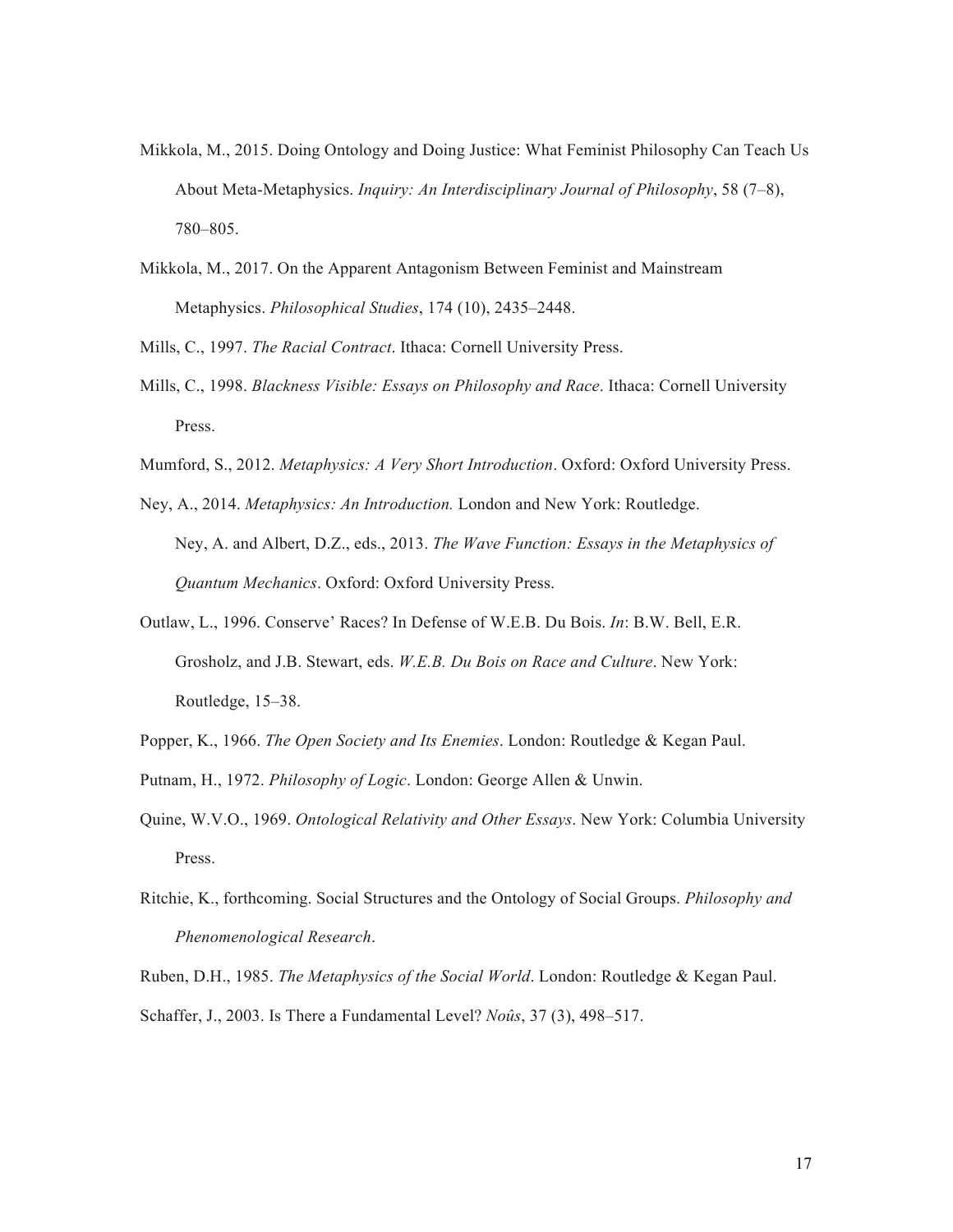- Mikkola, M., 2015. Doing Ontology and Doing Justice: What Feminist Philosophy Can Teach Us About Meta-Metaphysics. *Inquiry: An Interdisciplinary Journal of Philosophy*, 58 (7–8), 780–805.
- Mikkola, M., 2017. On the Apparent Antagonism Between Feminist and Mainstream Metaphysics. *Philosophical Studies*, 174 (10), 2435–2448.

Mills, C., 1997. *The Racial Contract*. Ithaca: Cornell University Press.

- Mills, C., 1998. *Blackness Visible: Essays on Philosophy and Race*. Ithaca: Cornell University Press.
- Mumford, S., 2012. *Metaphysics: A Very Short Introduction*. Oxford: Oxford University Press.
- Ney, A., 2014. *Metaphysics: An Introduction.* London and New York: Routledge. Ney, A. and Albert, D.Z., eds., 2013. *The Wave Function: Essays in the Metaphysics of Quantum Mechanics*. Oxford: Oxford University Press.
- Outlaw, L., 1996. Conserve' Races? In Defense of W.E.B. Du Bois. *In*: B.W. Bell, E.R. Grosholz, and J.B. Stewart, eds. *W.E.B. Du Bois on Race and Culture*. New York: Routledge, 15–38.
- Popper, K., 1966. *The Open Society and Its Enemies*. London: Routledge & Kegan Paul.
- Putnam, H., 1972. *Philosophy of Logic*. London: George Allen & Unwin.
- Quine, W.V.O., 1969. *Ontological Relativity and Other Essays*. New York: Columbia University Press.
- Ritchie, K., forthcoming. Social Structures and the Ontology of Social Groups. *Philosophy and Phenomenological Research*.

Ruben, D.H., 1985. *The Metaphysics of the Social World*. London: Routledge & Kegan Paul. Schaffer, J., 2003. Is There a Fundamental Level? *Noûs*, 37 (3), 498–517.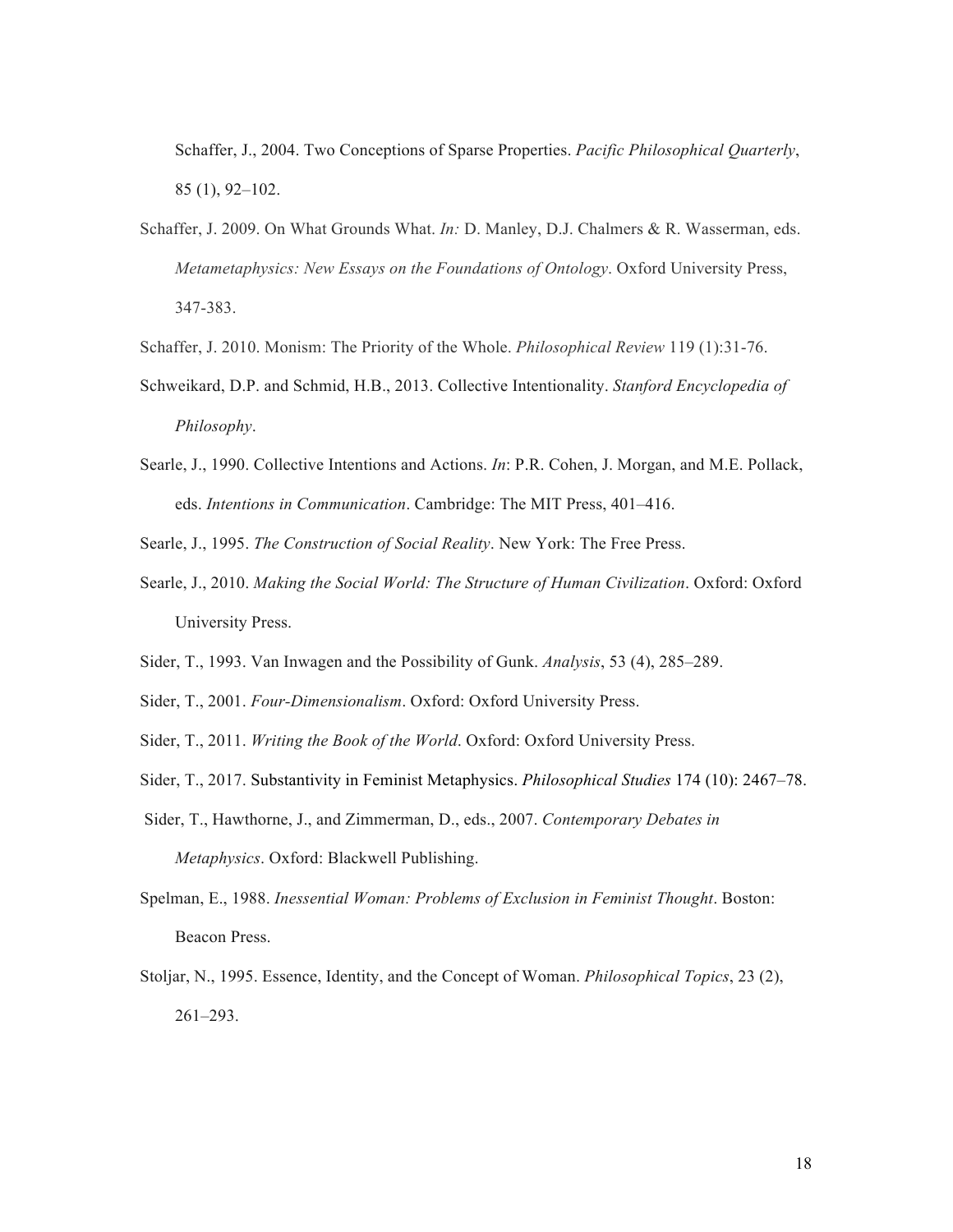Schaffer, J., 2004. Two Conceptions of Sparse Properties. *Pacific Philosophical Quarterly*, 85 (1), 92–102.

- Schaffer, J. 2009. On What Grounds What. *In:* D. Manley, D.J. Chalmers & R. Wasserman, eds. *Metametaphysics: New Essays on the Foundations of Ontology*. Oxford University Press, 347-383.
- Schaffer, J. 2010. Monism: The Priority of the Whole. *Philosophical Review* 119 (1):31-76.
- Schweikard, D.P. and Schmid, H.B., 2013. Collective Intentionality. *Stanford Encyclopedia of Philosophy*.
- Searle, J., 1990. Collective Intentions and Actions. *In*: P.R. Cohen, J. Morgan, and M.E. Pollack, eds. *Intentions in Communication*. Cambridge: The MIT Press, 401–416.
- Searle, J., 1995. *The Construction of Social Reality*. New York: The Free Press.
- Searle, J., 2010. *Making the Social World: The Structure of Human Civilization*. Oxford: Oxford University Press.
- Sider, T., 1993. Van Inwagen and the Possibility of Gunk. *Analysis*, 53 (4), 285–289.
- Sider, T., 2001. *Four-Dimensionalism*. Oxford: Oxford University Press.
- Sider, T., 2011. *Writing the Book of the World*. Oxford: Oxford University Press.
- Sider, T., 2017. Substantivity in Feminist Metaphysics. *Philosophical Studies* 174 (10): 2467–78.
- Sider, T., Hawthorne, J., and Zimmerman, D., eds., 2007. *Contemporary Debates in Metaphysics*. Oxford: Blackwell Publishing.
- Spelman, E., 1988. *Inessential Woman: Problems of Exclusion in Feminist Thought*. Boston: Beacon Press.
- Stoljar, N., 1995. Essence, Identity, and the Concept of Woman. *Philosophical Topics*, 23 (2), 261–293.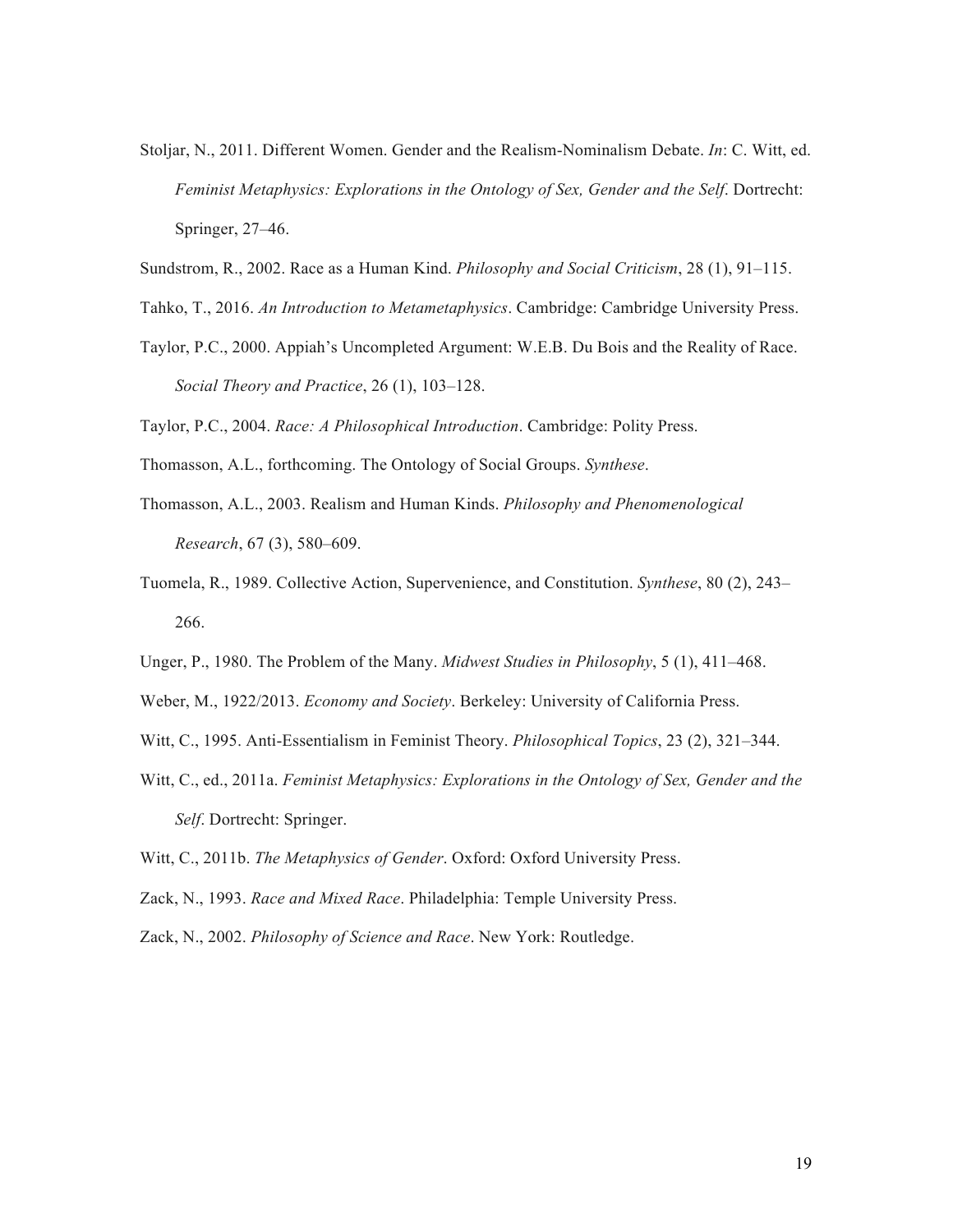- Stoljar, N., 2011. Different Women. Gender and the Realism-Nominalism Debate. *In*: C. Witt, ed. *Feminist Metaphysics: Explorations in the Ontology of Sex, Gender and the Self*. Dortrecht: Springer, 27–46.
- Sundstrom, R., 2002. Race as a Human Kind. *Philosophy and Social Criticism*, 28 (1), 91–115.
- Tahko, T., 2016. *An Introduction to Metametaphysics*. Cambridge: Cambridge University Press.
- Taylor, P.C., 2000. Appiah's Uncompleted Argument: W.E.B. Du Bois and the Reality of Race. *Social Theory and Practice*, 26 (1), 103–128.

Taylor, P.C., 2004. *Race: A Philosophical Introduction*. Cambridge: Polity Press.

- Thomasson, A.L., forthcoming. The Ontology of Social Groups. *Synthese*.
- Thomasson, A.L., 2003. Realism and Human Kinds. *Philosophy and Phenomenological Research*, 67 (3), 580–609.
- Tuomela, R., 1989. Collective Action, Supervenience, and Constitution. *Synthese*, 80 (2), 243– 266.
- Unger, P., 1980. The Problem of the Many. *Midwest Studies in Philosophy*, 5 (1), 411–468.
- Weber, M., 1922/2013. *Economy and Society*. Berkeley: University of California Press.
- Witt, C., 1995. Anti-Essentialism in Feminist Theory. *Philosophical Topics*, 23 (2), 321–344.
- Witt, C., ed., 2011a. *Feminist Metaphysics: Explorations in the Ontology of Sex, Gender and the Self*. Dortrecht: Springer.
- Witt, C., 2011b. *The Metaphysics of Gender*. Oxford: Oxford University Press.
- Zack, N., 1993. *Race and Mixed Race*. Philadelphia: Temple University Press.
- Zack, N., 2002. *Philosophy of Science and Race*. New York: Routledge.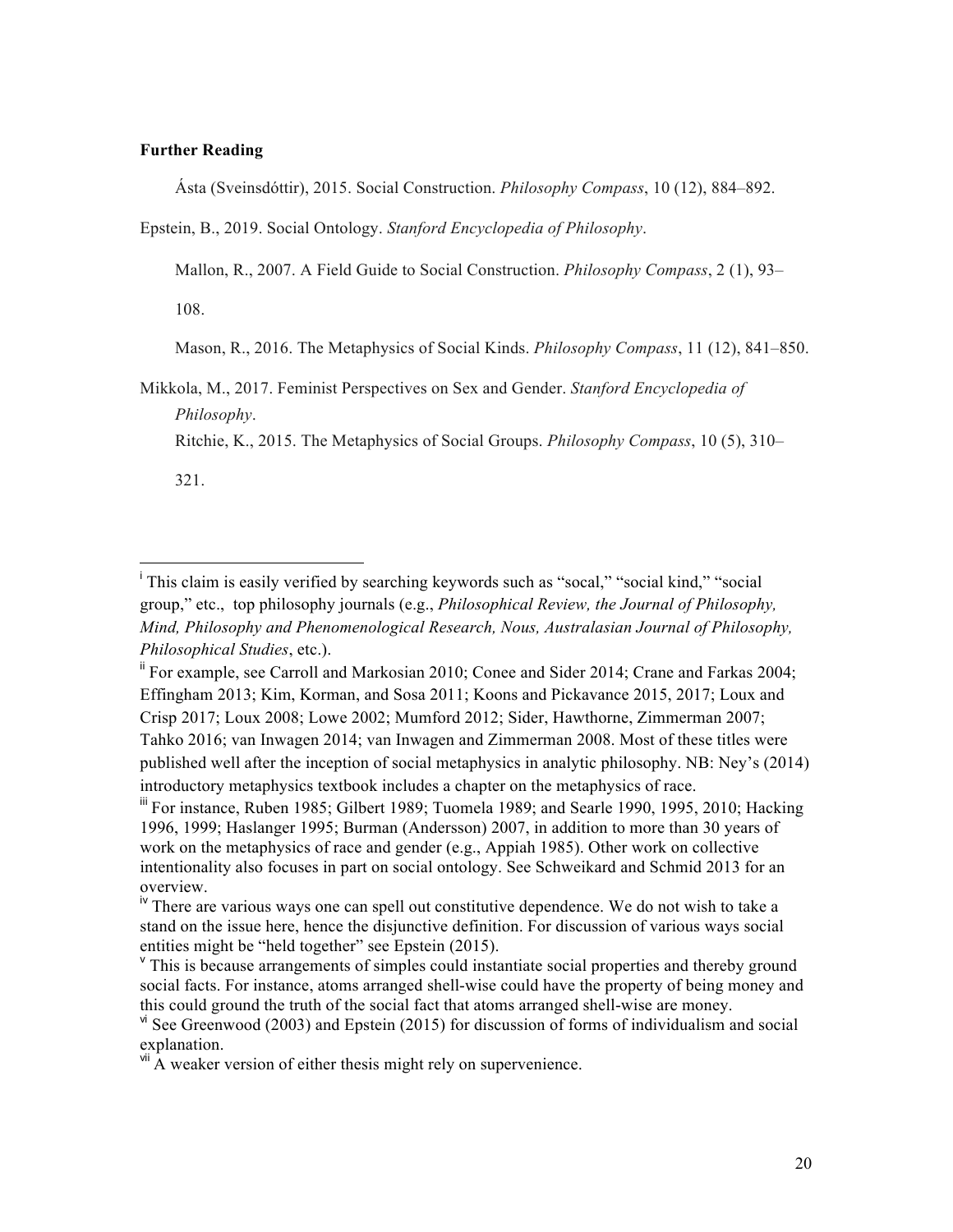#### **Further Reading**

Ásta (Sveinsdóttir), 2015. Social Construction. *Philosophy Compass*, 10 (12), 884–892.

Epstein, B., 2019. Social Ontology. *Stanford Encyclopedia of Philosophy*.

Mallon, R., 2007. A Field Guide to Social Construction. *Philosophy Compass*, 2 (1), 93–

108.

Mason, R., 2016. The Metaphysics of Social Kinds. *Philosophy Compass*, 11 (12), 841–850.

Mikkola, M., 2017. Feminist Perspectives on Sex and Gender. *Stanford Encyclopedia of Philosophy*.

Ritchie, K., 2015. The Metaphysics of Social Groups. *Philosophy Compass*, 10 (5), 310–

321.

<sup>.&</sup>lt;br>i This claim is easily verified by searching keywords such as "socal," "social kind," "social group," etc., top philosophy journals (e.g., *Philosophical Review, the Journal of Philosophy, Mind, Philosophy and Phenomenological Research, Nous, Australasian Journal of Philosophy, Philosophical Studies*, etc.).

<sup>&</sup>lt;sup> $\text{II}$ </sup> For example, see Carroll and Markosian 2010; Conee and Sider 2014; Crane and Farkas 2004; Effingham 2013; Kim, Korman, and Sosa 2011; Koons and Pickavance 2015, 2017; Loux and Crisp 2017; Loux 2008; Lowe 2002; Mumford 2012; Sider, Hawthorne, Zimmerman 2007; Tahko 2016; van Inwagen 2014; van Inwagen and Zimmerman 2008. Most of these titles were published well after the inception of social metaphysics in analytic philosophy. NB: Ney's (2014) introductory metaphysics textbook includes a chapter on the metaphysics of race.

iii For instance, Ruben 1985; Gilbert 1989; Tuomela 1989; and Searle 1990, 1995, 2010; Hacking 1996, 1999; Haslanger 1995; Burman (Andersson) 2007, in addition to more than 30 years of work on the metaphysics of race and gender (e.g., Appiah 1985). Other work on collective intentionality also focuses in part on social ontology. See Schweikard and Schmid 2013 for an overview.

<sup>&</sup>lt;sup>iv</sup> There are various ways one can spell out constitutive dependence. We do not wish to take a stand on the issue here, hence the disjunctive definition. For discussion of various ways social entities might be "held together" see Epstein (2015).<br><sup>v</sup> This is because arrangements of simples could instantiate social properties and thereby ground

social facts. For instance, atoms arranged shell-wise could have the property of being money and this could ground the truth of the social fact that atoms arranged shell-wise are money.

vi See Greenwood (2003) and Epstein (2015) for discussion of forms of individualism and social explanation.

v<sup>ii</sup> A weaker version of either thesis might rely on supervenience.